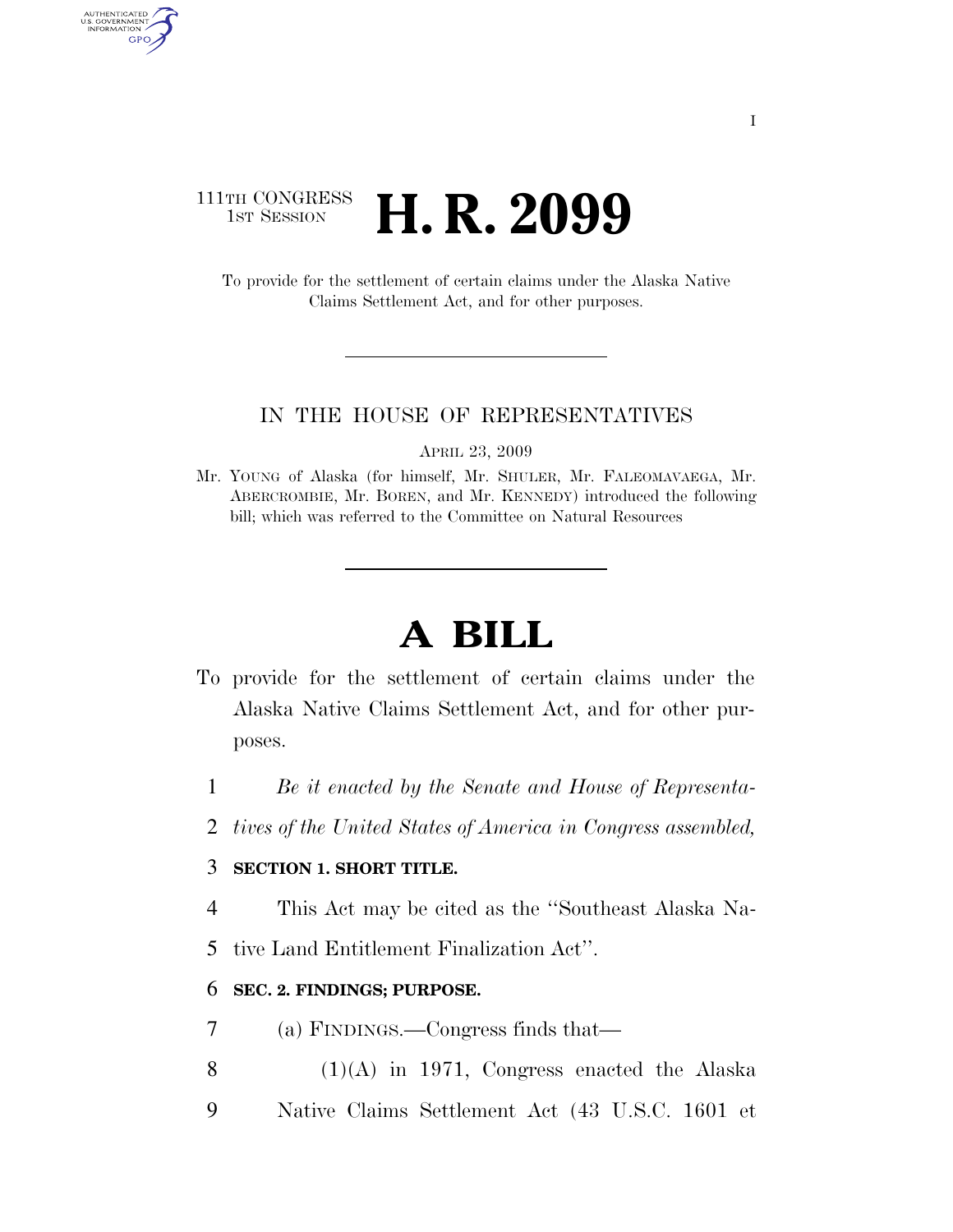### 111TH CONGRESS **1ST SESSION <b>H. R. 2099**

AUTHENTICATED<br>U.S. GOVERNMENT<br>INFORMATION

GPO

To provide for the settlement of certain claims under the Alaska Native Claims Settlement Act, and for other purposes.

#### IN THE HOUSE OF REPRESENTATIVES

APRIL 23, 2009

Mr. YOUNG of Alaska (for himself, Mr. SHULER, Mr. FALEOMAVAEGA, Mr. ABERCROMBIE, Mr. BOREN, and Mr. KENNEDY) introduced the following bill; which was referred to the Committee on Natural Resources

# **A BILL**

- To provide for the settlement of certain claims under the Alaska Native Claims Settlement Act, and for other purposes.
	- 1 *Be it enacted by the Senate and House of Representa-*
	- 2 *tives of the United States of America in Congress assembled,*

#### 3 **SECTION 1. SHORT TITLE.**

- 4 This Act may be cited as the ''Southeast Alaska Na-
- 5 tive Land Entitlement Finalization Act''.

#### 6 **SEC. 2. FINDINGS; PURPOSE.**

- 7 (a) FINDINGS.—Congress finds that—
- 8  $(1)(A)$  in 1971, Congress enacted the Alaska
- 9 Native Claims Settlement Act (43 U.S.C. 1601 et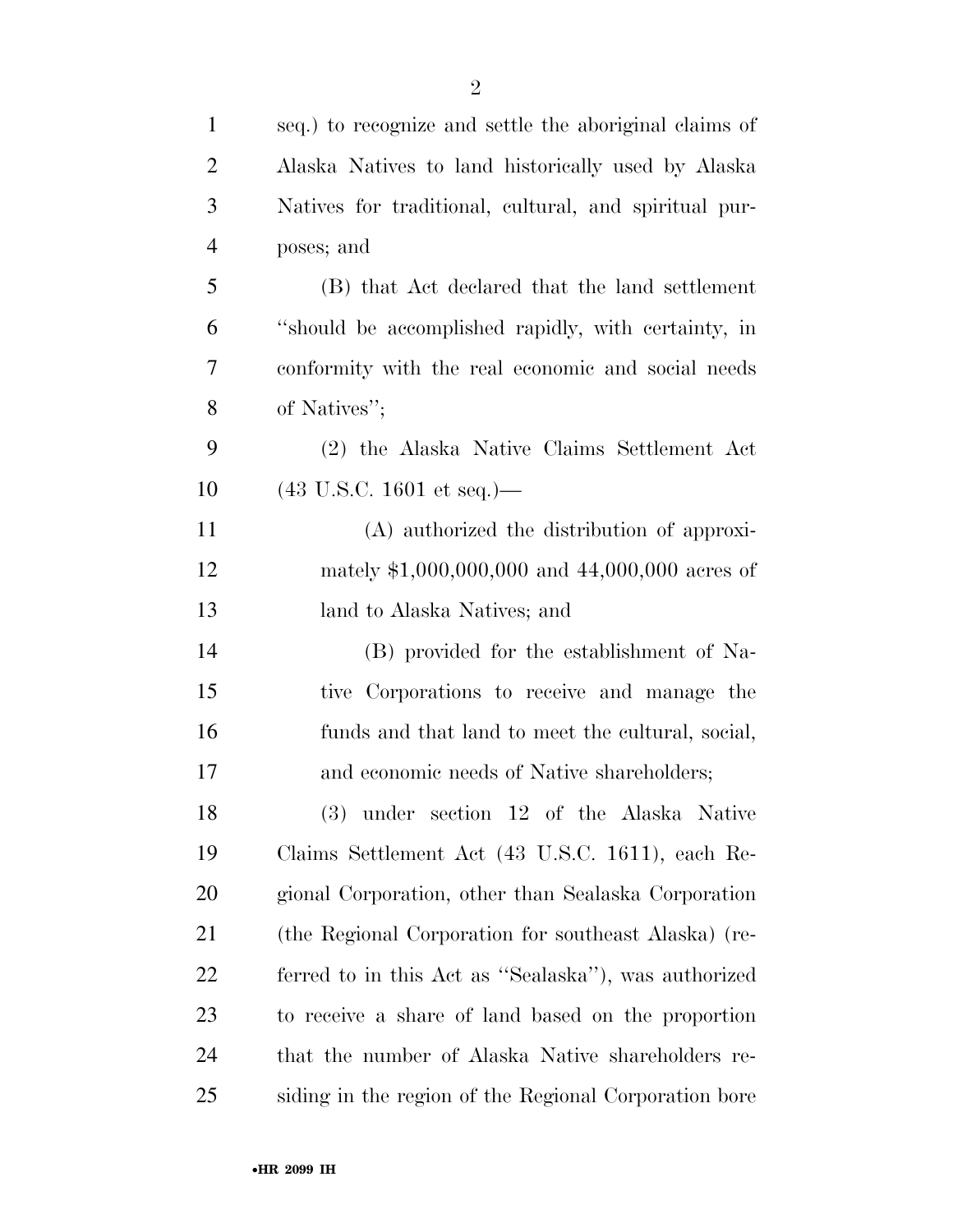| $\mathbf{1}$   | seq.) to recognize and settle the aboriginal claims of |
|----------------|--------------------------------------------------------|
| $\overline{2}$ | Alaska Natives to land historically used by Alaska     |
| 3              | Natives for traditional, cultural, and spiritual pur-  |
| $\overline{4}$ | poses; and                                             |
| 5              | (B) that Act declared that the land settlement         |
| 6              | "should be accomplished rapidly, with certainty, in    |
| 7              | conformity with the real economic and social needs     |
| 8              | of Natives";                                           |
| 9              | (2) the Alaska Native Claims Settlement Act            |
| 10             | $(43 \text{ U.S.C. } 1601 \text{ et seq.})$ —          |
| 11             | (A) authorized the distribution of approxi-            |
| 12             | mately $$1,000,000,000$ and $44,000,000$ acres of      |
| 13             | land to Alaska Natives; and                            |
| 14             | (B) provided for the establishment of Na-              |
| 15             | tive Corporations to receive and manage the            |
| 16             | funds and that land to meet the cultural, social,      |
| 17             | and economic needs of Native shareholders;             |
| 18             | (3) under section 12 of the Alaska Native              |
| 19             | Claims Settlement Act (43 U.S.C. 1611), each Re-       |
| 20             | gional Corporation, other than Sealaska Corporation    |
| 21             | (the Regional Corporation for southeast Alaska) (re-   |
| 22             | ferred to in this Act as "Sealaska"), was authorized   |
| 23             | to receive a share of land based on the proportion     |
| 24             | that the number of Alaska Native shareholders re-      |
| 25             | siding in the region of the Regional Corporation bore  |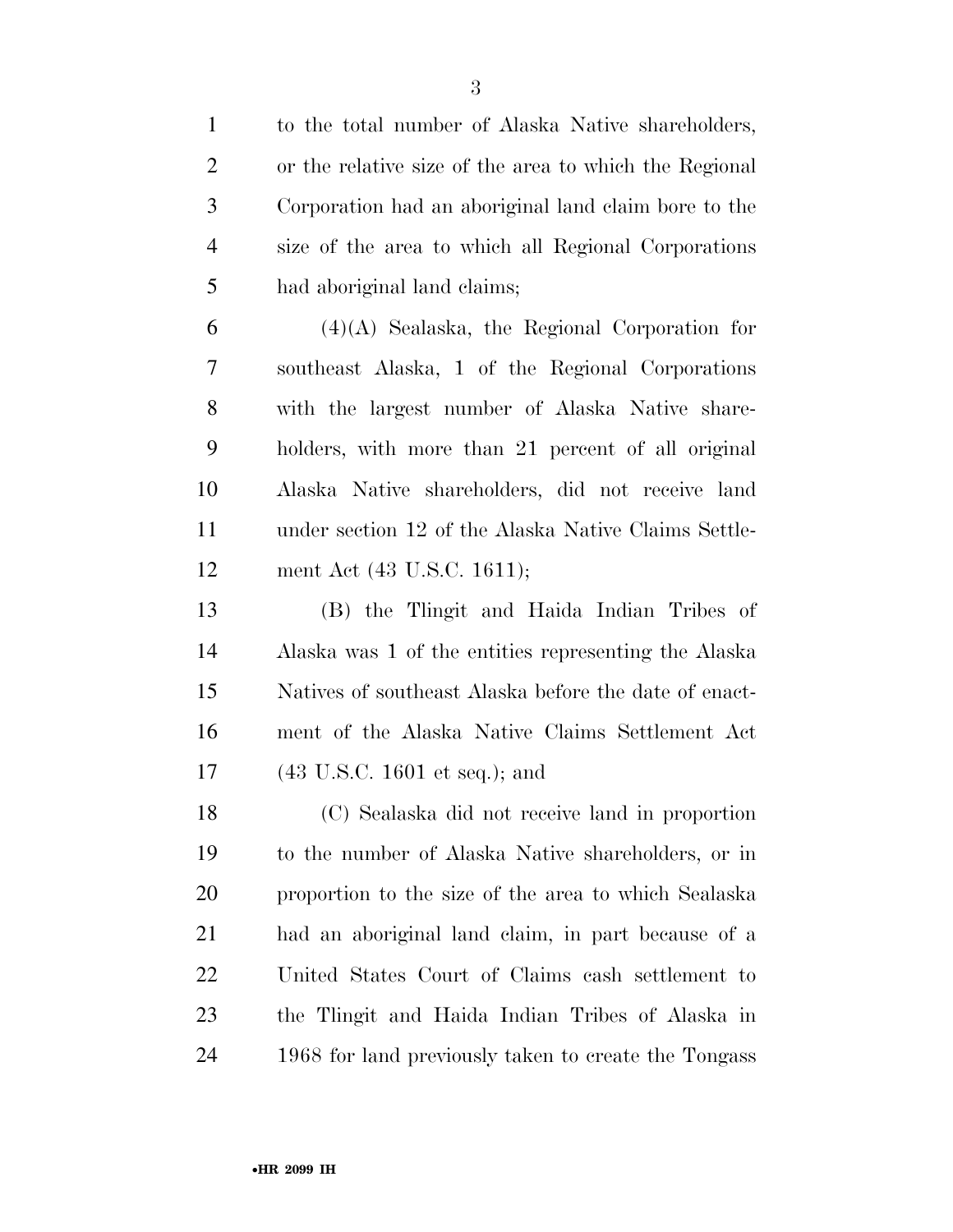| $\mathbf{1}$   | to the total number of Alaska Native shareholders,     |
|----------------|--------------------------------------------------------|
| $\overline{2}$ | or the relative size of the area to which the Regional |
| 3              | Corporation had an aboriginal land claim bore to the   |
| $\overline{4}$ | size of the area to which all Regional Corporations    |
| 5              | had aboriginal land claims;                            |
| 6              | $(4)(A)$ Sealaska, the Regional Corporation for        |
| 7              | southeast Alaska, 1 of the Regional Corporations       |
| 8              | with the largest number of Alaska Native share-        |
| 9              | holders, with more than 21 percent of all original     |
| 10             | Alaska Native shareholders, did not receive land       |
| 11             | under section 12 of the Alaska Native Claims Settle-   |
| 12             | ment Act (43 U.S.C. 1611);                             |
| 13             | (B) the Tlingit and Haida Indian Tribes of             |
| 14             | Alaska was 1 of the entities representing the Alaska   |
| 15             | Natives of southeast Alaska before the date of enact-  |
| 16             | ment of the Alaska Native Claims Settlement Act        |
| 17             | $(43 \text{ U.S.C. } 1601 \text{ et seq.});$ and       |
| 18             | (C) Sealaska did not receive land in proportion        |
| 19             | to the number of Alaska Native shareholders, or in     |
| 20             | proportion to the size of the area to which Sealaska   |
| 21             | had an aboriginal land claim, in part because of a     |
| 22             | United States Court of Claims cash settlement to       |
| 23             | the Tlingit and Haida Indian Tribes of Alaska in       |
| 24             | 1968 for land previously taken to create the Tongass   |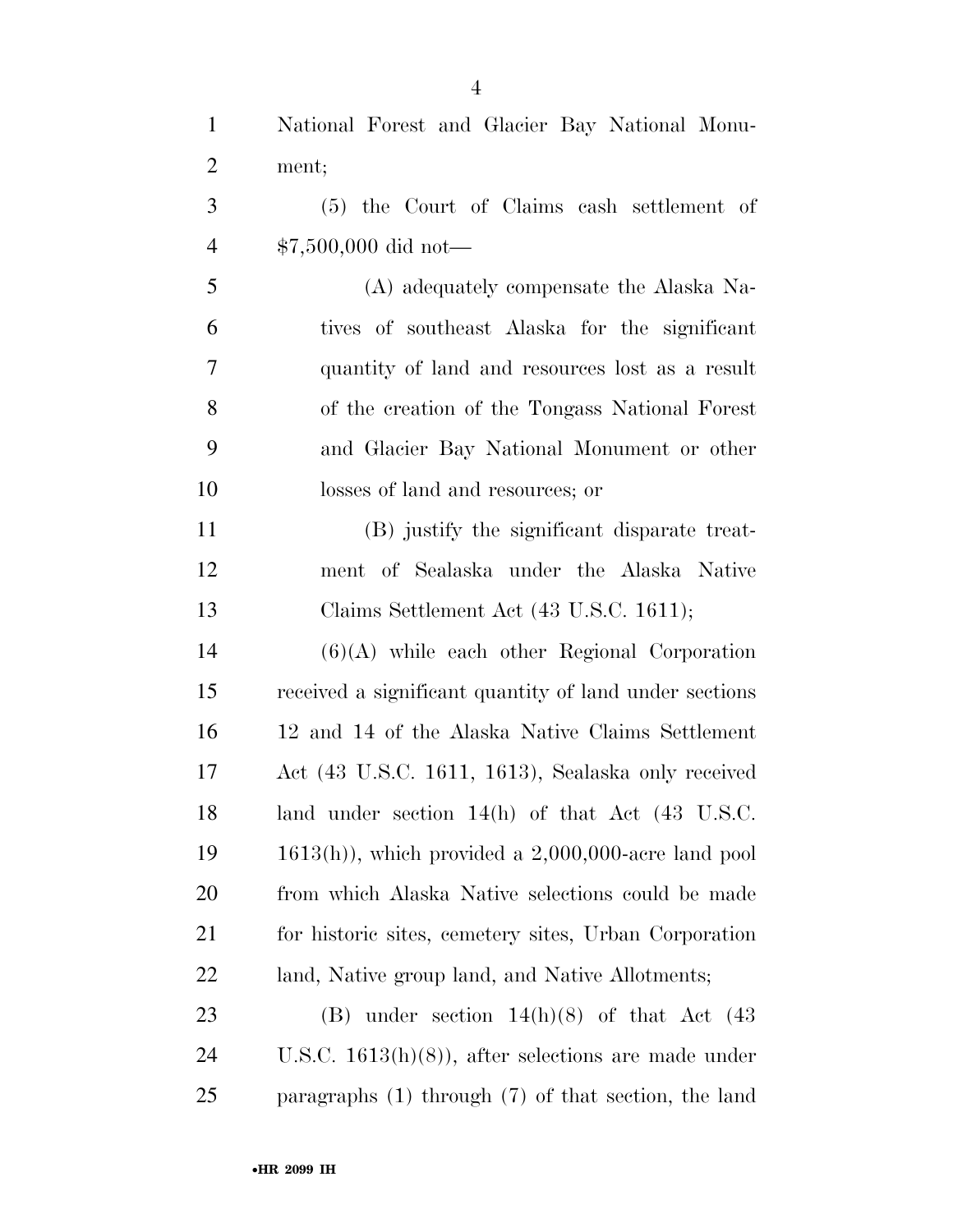| $\mathbf{1}$   | National Forest and Glacier Bay National Monu-               |
|----------------|--------------------------------------------------------------|
| $\overline{2}$ | ment;                                                        |
| 3              | (5) the Court of Claims cash settlement of                   |
| $\overline{4}$ | $$7,500,000$ did not-                                        |
| 5              | (A) adequately compensate the Alaska Na-                     |
| 6              | tives of southeast Alaska for the significant                |
| 7              | quantity of land and resources lost as a result              |
| 8              | of the creation of the Tongass National Forest               |
| 9              | and Glacier Bay National Monument or other                   |
| 10             | losses of land and resources; or                             |
| 11             | (B) justify the significant disparate treat-                 |
| 12             | ment of Sealaska under the Alaska Native                     |
| 13             | Claims Settlement Act (43 U.S.C. 1611);                      |
| 14             | $(6)(A)$ while each other Regional Corporation               |
| 15             | received a significant quantity of land under sections       |
| 16             | 12 and 14 of the Alaska Native Claims Settlement             |
| 17             | Act (43 U.S.C. 1611, 1613), Sealaska only received           |
| 18             | land under section $14(h)$ of that Act $(43 \text{ U.S.C.})$ |
| 19             | $1613(h)$ , which provided a $2,000,000$ -acre land pool     |
| 20             | from which Alaska Native selections could be made            |
| 21             | for historic sites, cemetery sites, Urban Corporation        |
| 22             | land, Native group land, and Native Allotments;              |
| 23             | (B) under section $14(h)(8)$ of that Act (43)                |
| 24             | U.S.C. $1613(h)(8)$ , after selections are made under        |
| 25             | paragraphs $(1)$ through $(7)$ of that section, the land     |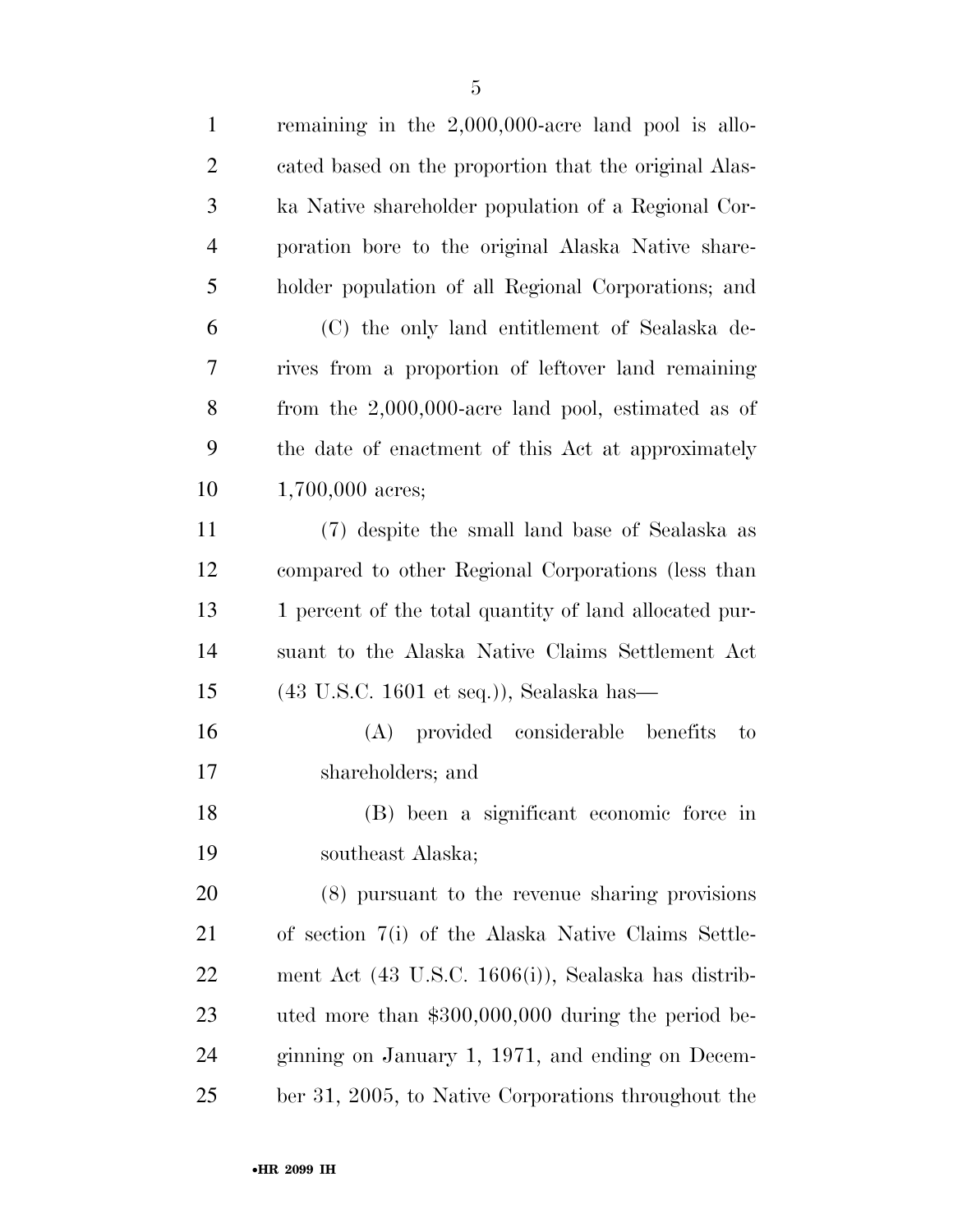| $\mathbf{1}$   | remaining in the $2,000,000$ -acre land pool is allo-       |
|----------------|-------------------------------------------------------------|
| $\overline{2}$ | cated based on the proportion that the original Alas-       |
| 3              | ka Native shareholder population of a Regional Cor-         |
| $\overline{4}$ | poration bore to the original Alaska Native share-          |
| 5              | holder population of all Regional Corporations; and         |
| 6              | (C) the only land entitlement of Sealaska de-               |
| 7              | rives from a proportion of leftover land remaining          |
| $8\,$          | from the $2,000,000$ -acre land pool, estimated as of       |
| 9              | the date of enactment of this Act at approximately          |
| 10             | 1,700,000 acres;                                            |
| 11             | (7) despite the small land base of Sealaska as              |
| 12             | compared to other Regional Corporations (less than          |
| 13             | 1 percent of the total quantity of land allocated pur-      |
| 14             | suant to the Alaska Native Claims Settlement Act            |
| 15             | $(43 \text{ U.S.C. } 1601 \text{ et seq.})),$ Sealaska has— |
| 16             | (A) provided considerable benefits<br>to                    |
| 17             | shareholders; and                                           |
| 18             | (B) been a significant economic force in                    |
| 19             | southeast Alaska;                                           |
| 20             | (8) pursuant to the revenue sharing provisions              |
| 21             | of section 7(i) of the Alaska Native Claims Settle-         |
| 22             | ment Act (43 U.S.C. 1606(i)), Sealaska has distrib-         |
| 23             | uted more than $$300,000,000$ during the period be-         |
| 24             | ginning on January 1, 1971, and ending on Decem-            |
| 25             | ber 31, 2005, to Native Corporations throughout the         |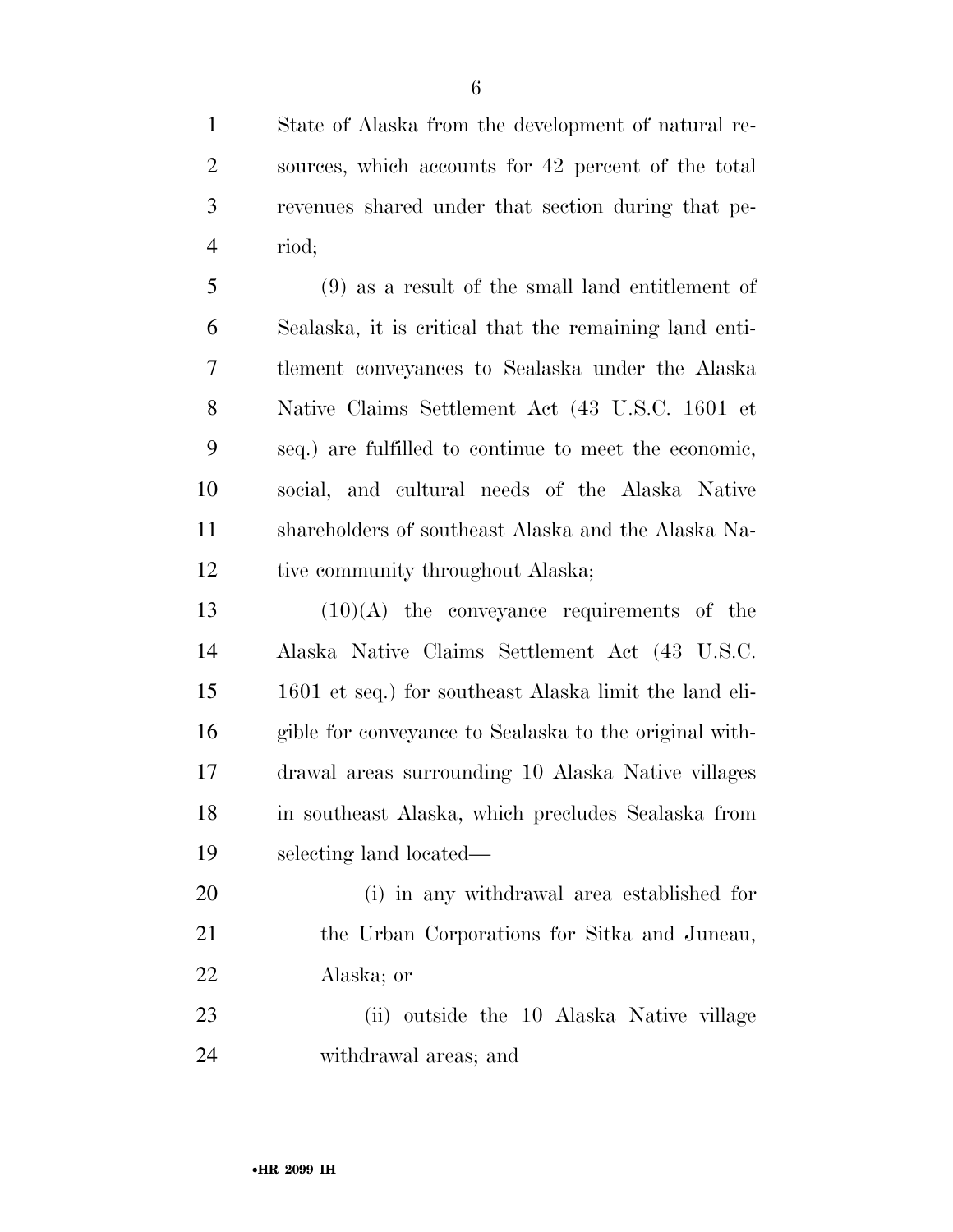State of Alaska from the development of natural re- sources, which accounts for 42 percent of the total revenues shared under that section during that pe-riod;

 (9) as a result of the small land entitlement of Sealaska, it is critical that the remaining land enti- tlement conveyances to Sealaska under the Alaska Native Claims Settlement Act (43 U.S.C. 1601 et seq.) are fulfilled to continue to meet the economic, social, and cultural needs of the Alaska Native shareholders of southeast Alaska and the Alaska Na-12 tive community throughout Alaska;

 $(10)(A)$  the conveyance requirements of the Alaska Native Claims Settlement Act (43 U.S.C. 1601 et seq.) for southeast Alaska limit the land eli- gible for conveyance to Sealaska to the original with- drawal areas surrounding 10 Alaska Native villages in southeast Alaska, which precludes Sealaska from selecting land located—

 (i) in any withdrawal area established for the Urban Corporations for Sitka and Juneau, Alaska; or

 (ii) outside the 10 Alaska Native village withdrawal areas; and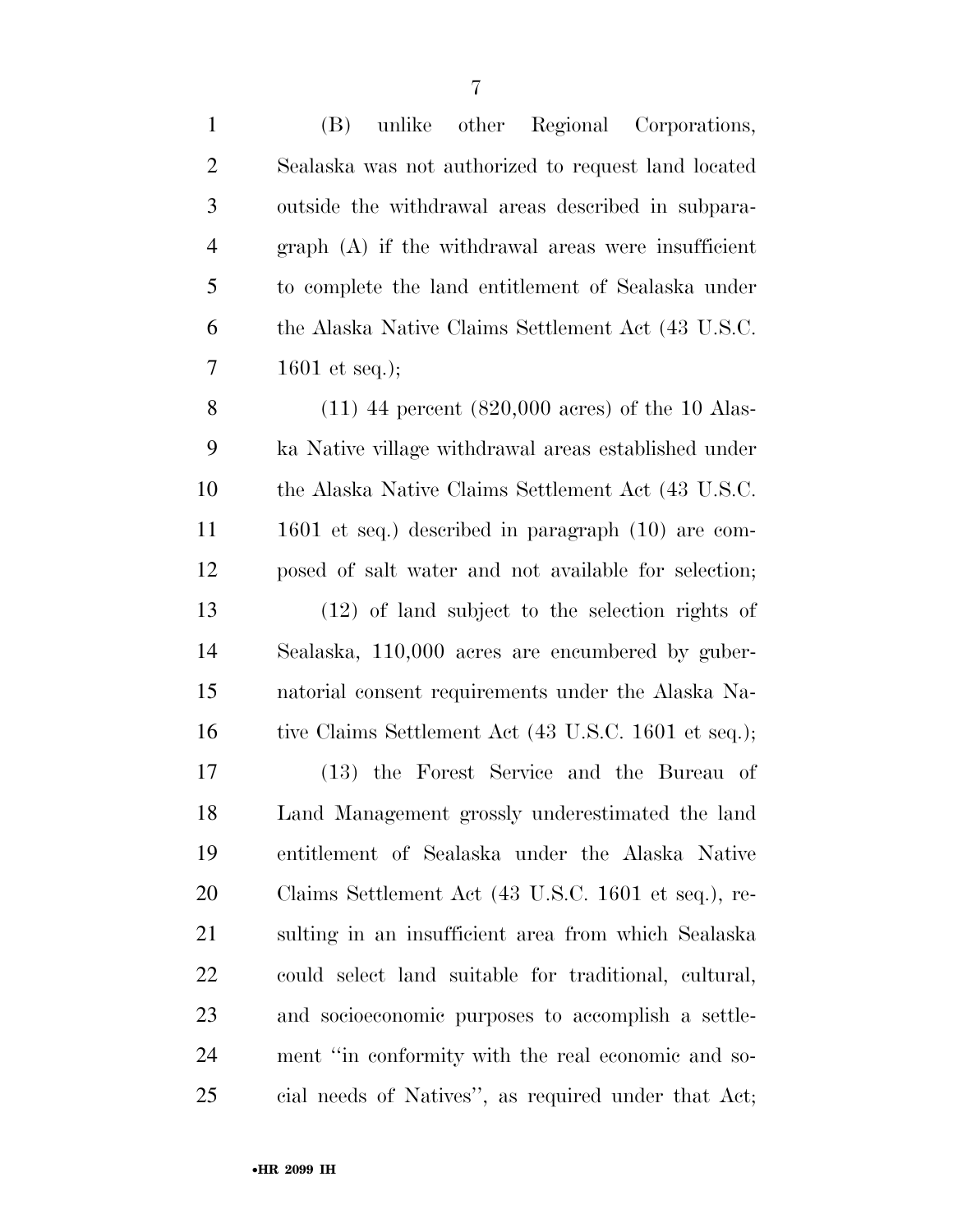| $\mathbf{1}$   | unlike other Regional Corporations,<br>(B)                  |
|----------------|-------------------------------------------------------------|
| $\overline{2}$ | Sealaska was not authorized to request land located         |
| 3              | outside the withdrawal areas described in subpara-          |
| $\overline{4}$ | $graph(A)$ if the withdrawal areas were insufficient        |
| 5              | to complete the land entitlement of Sealaska under          |
| 6              | the Alaska Native Claims Settlement Act (43 U.S.C.          |
| 7              | 1601 et seq.);                                              |
| 8              | $(11)$ 44 percent $(820,000 \text{ acres})$ of the 10 Alas- |
| 9              | ka Native village withdrawal areas established under        |
| 10             | the Alaska Native Claims Settlement Act (43 U.S.C.          |
| 11             | $1601$ et seq.) described in paragraph $(10)$ are com-      |
| 12             | posed of salt water and not available for selection;        |
| 13             | $(12)$ of land subject to the selection rights of           |
| 14             | Sealaska, 110,000 acres are encumbered by guber-            |
| 15             | natorial consent requirements under the Alaska Na-          |
| 16             | tive Claims Settlement Act (43 U.S.C. 1601 et seq.);        |
| 17             | (13) the Forest Service and the Bureau of                   |
| 18             | Land Management grossly underestimated the land             |
| 19             | entitlement of Sealaska under the Alaska Native             |
| <b>20</b>      | Claims Settlement Act (43 U.S.C. 1601 et seq.), re-         |
| 21             | sulting in an insufficient area from which Sealaska         |
| 22             | could select land suitable for traditional, cultural,       |
| 23             | and socioeconomic purposes to accomplish a settle-          |
| 24             | ment "in conformity with the real economic and so-          |
| 25             | cial needs of Natives", as required under that Act;         |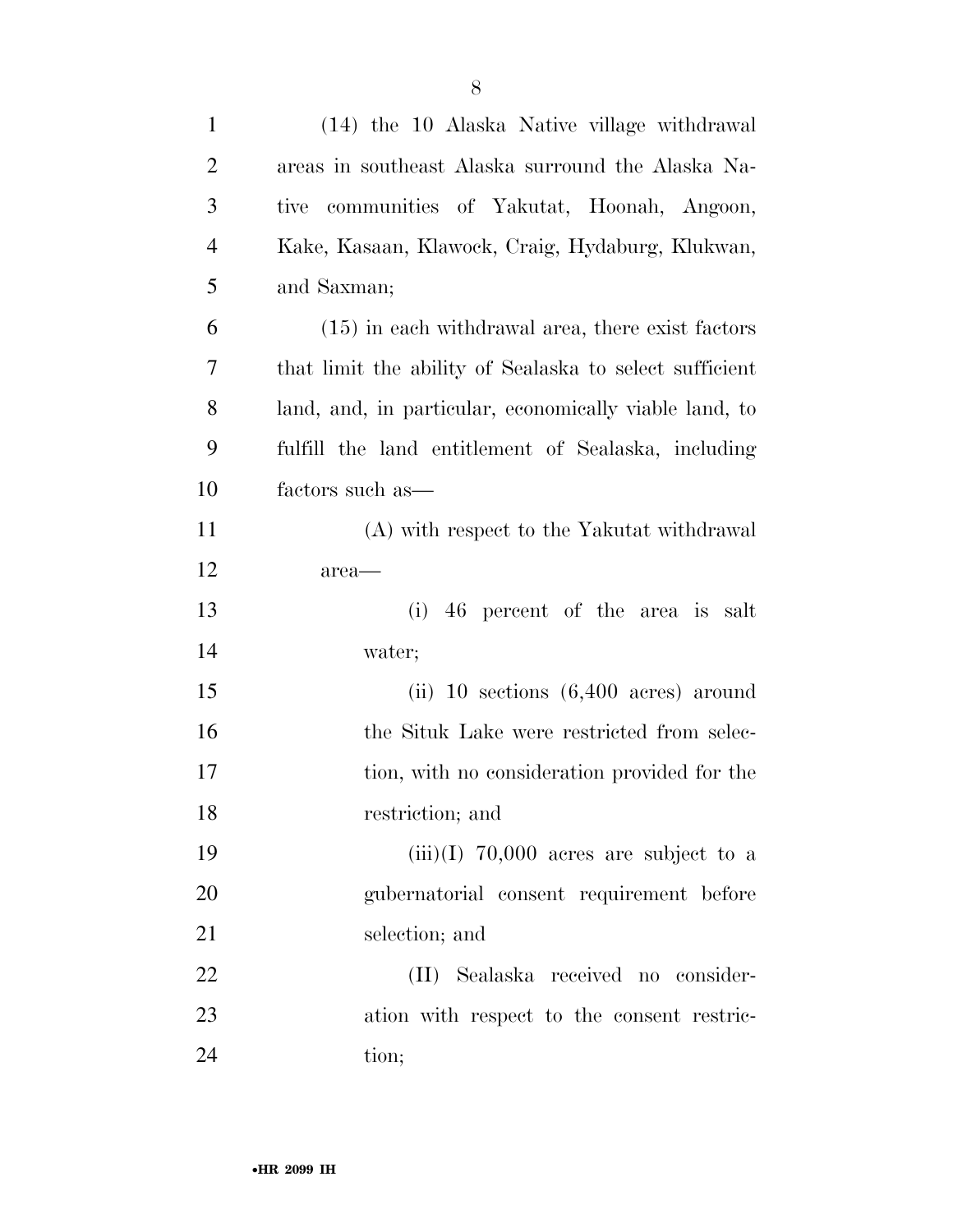| $\mathbf{1}$   | (14) the 10 Alaska Native village withdrawal            |
|----------------|---------------------------------------------------------|
| $\overline{2}$ | areas in southeast Alaska surround the Alaska Na-       |
| 3              | communities of Yakutat, Hoonah, Angoon,<br>tive         |
| $\overline{4}$ | Kake, Kasaan, Klawock, Craig, Hydaburg, Klukwan,        |
| 5              | and Saxman;                                             |
| 6              | $(15)$ in each withdrawal area, there exist factors     |
| 7              | that limit the ability of Sealaska to select sufficient |
| 8              | land, and, in particular, economically viable land, to  |
| 9              | fulfill the land entitlement of Sealaska, including     |
| 10             | factors such as—                                        |
| 11             | (A) with respect to the Yakutat withdrawal              |
| 12             | area—                                                   |
| 13             | (i)<br>46 percent of the area is salt                   |
| 14             | water;                                                  |
| 15             | (ii) 10 sections $(6,400 \text{ acres})$ around         |
| 16             | the Situk Lake were restricted from selec-              |
| 17             | tion, with no consideration provided for the            |
| 18             | restriction; and                                        |
| 19             | $(iii)(I)$ 70,000 acres are subject to a                |
| 20             | gubernatorial consent requirement before                |
| 21             | selection; and                                          |
| 22             | (II) Sealaska received no consider-                     |
| 23             | ation with respect to the consent restric-              |
| 24             | tion;                                                   |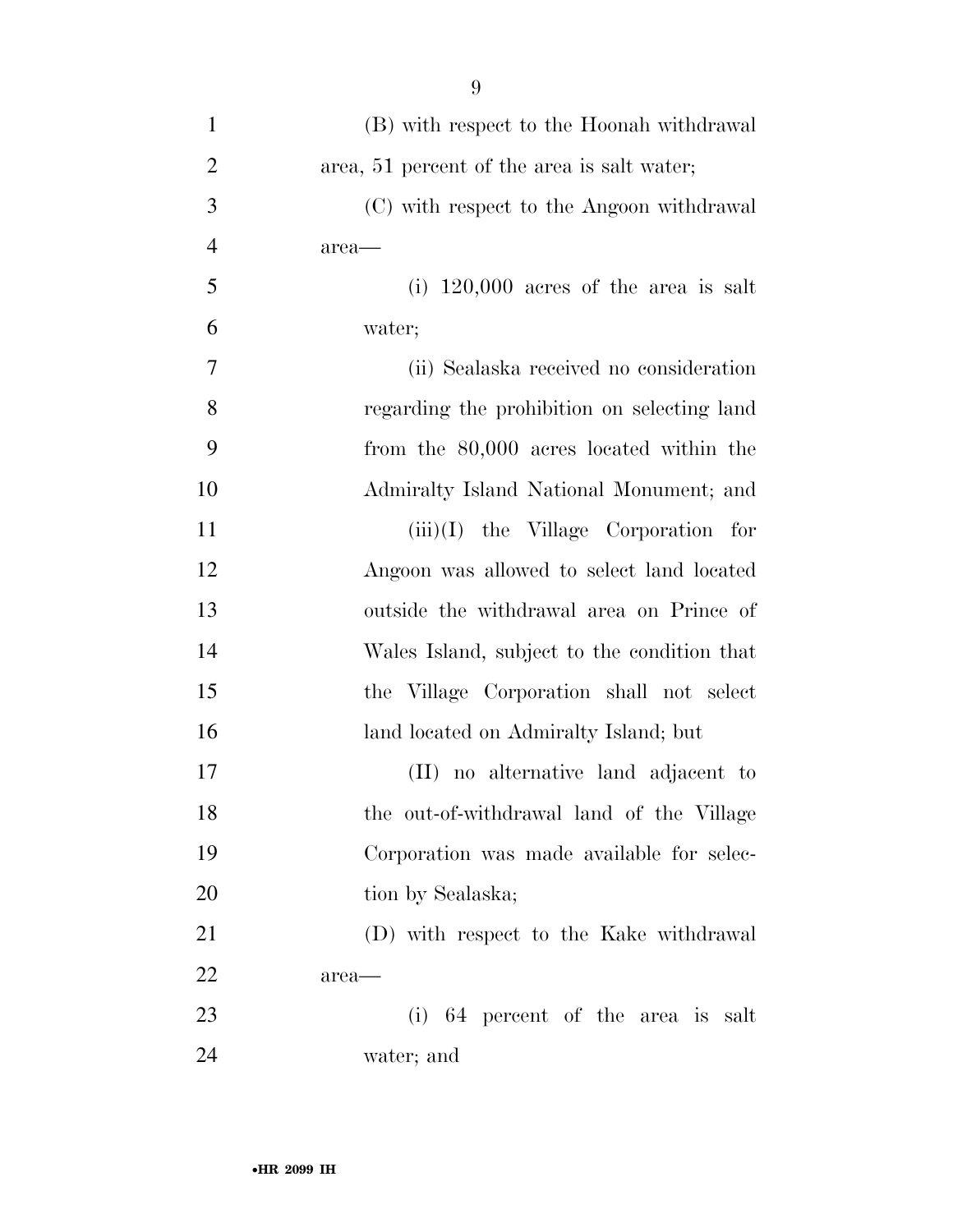| $\mathbf{1}$   | (B) with respect to the Hoonah withdrawal   |
|----------------|---------------------------------------------|
| $\overline{2}$ | area, 51 percent of the area is salt water; |
| 3              | (C) with respect to the Angoon withdrawal   |
| $\overline{4}$ | area—                                       |
| 5              | (i) $120,000$ acres of the area is salt     |
| 6              | water;                                      |
| 7              | (ii) Sealaska received no consideration     |
| 8              | regarding the prohibition on selecting land |
| 9              | from the 80,000 acres located within the    |
| 10             | Admiralty Island National Monument; and     |
| 11             | $(iii)(I)$ the Village Corporation for      |
| 12             | Angoon was allowed to select land located   |
| 13             | outside the withdrawal area on Prince of    |
| 14             | Wales Island, subject to the condition that |
| 15             | the Village Corporation shall not select    |
| 16             | land located on Admiralty Island; but       |
| 17             | (II) no alternative land adjacent to        |
| 18             | the out-of-withdrawal land of the Village   |
| 19             | Corporation was made available for selec-   |
| 20             | tion by Sealaska;                           |
| 21             | (D) with respect to the Kake withdrawal     |
| 22             | area—                                       |
| 23             | (i) 64 percent of the area is salt          |
| 24             | water; and                                  |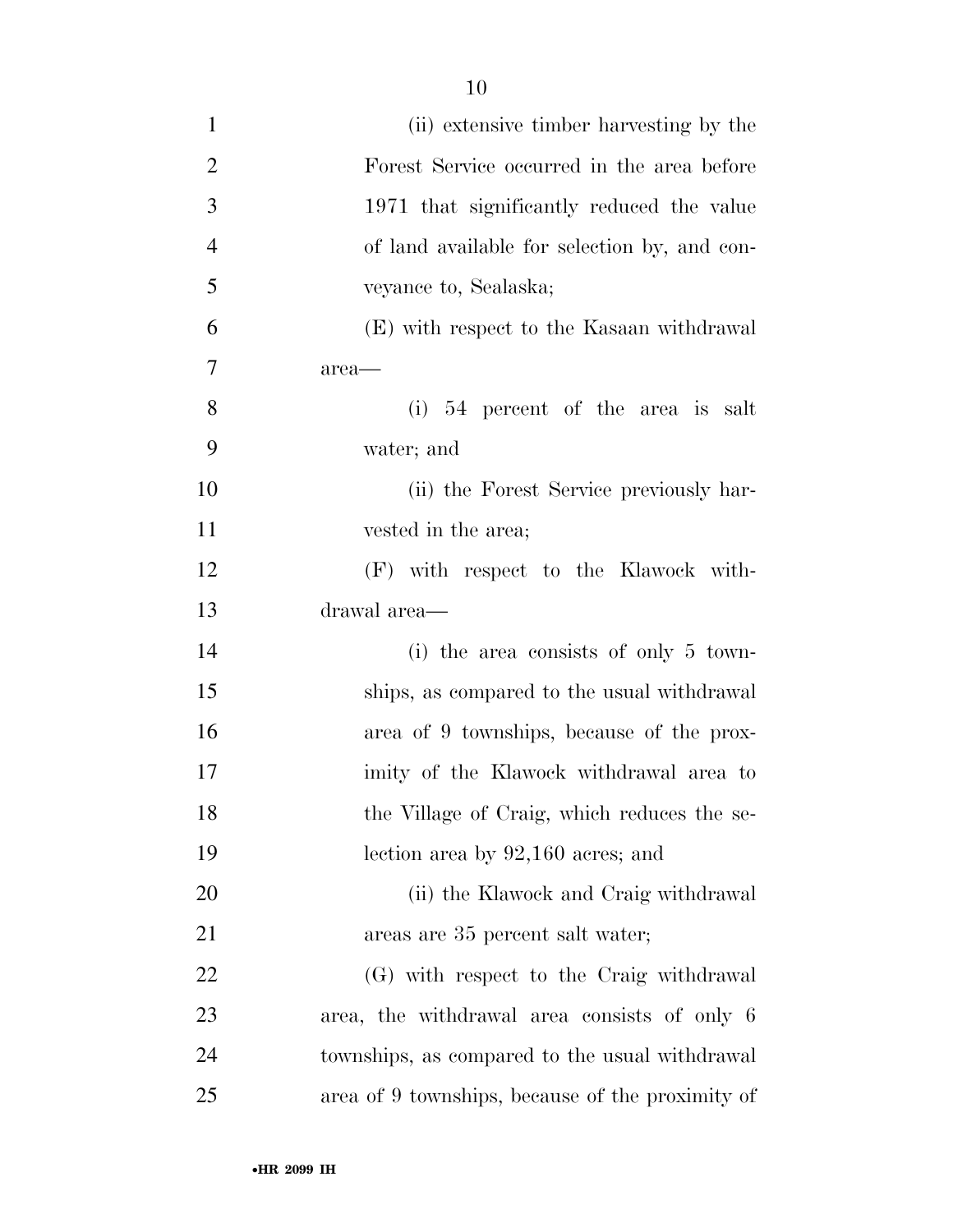| $\mathbf{1}$   | (ii) extensive timber harvesting by the          |
|----------------|--------------------------------------------------|
| $\overline{2}$ | Forest Service occurred in the area before       |
| 3              | 1971 that significantly reduced the value        |
| $\overline{4}$ | of land available for selection by, and con-     |
| 5              | veyance to, Sealaska;                            |
| 6              | (E) with respect to the Kasaan withdrawal        |
| $\tau$         | area—                                            |
| 8              | $(i)$ 54 percent of the area is salt             |
| 9              | water; and                                       |
| 10             | (ii) the Forest Service previously har-          |
| 11             | vested in the area;                              |
| 12             | (F) with respect to the Klawock with-            |
| 13             | drawal area—                                     |
| 14             | (i) the area consists of only $5 \text{ town}$   |
| 15             | ships, as compared to the usual withdrawal       |
| 16             | area of 9 townships, because of the prox-        |
| 17             | imity of the Klawock withdrawal area to          |
| 18             | the Village of Craig, which reduces the se-      |
| 19             | lection area by $92,160$ acres; and              |
| 20             | (ii) the Klawock and Craig withdrawal            |
| 21             | areas are 35 percent salt water;                 |
| 22             | (G) with respect to the Craig withdrawal         |
| 23             | area, the withdrawal area consists of only 6     |
| 24             | townships, as compared to the usual withdrawal   |
| 25             | area of 9 townships, because of the proximity of |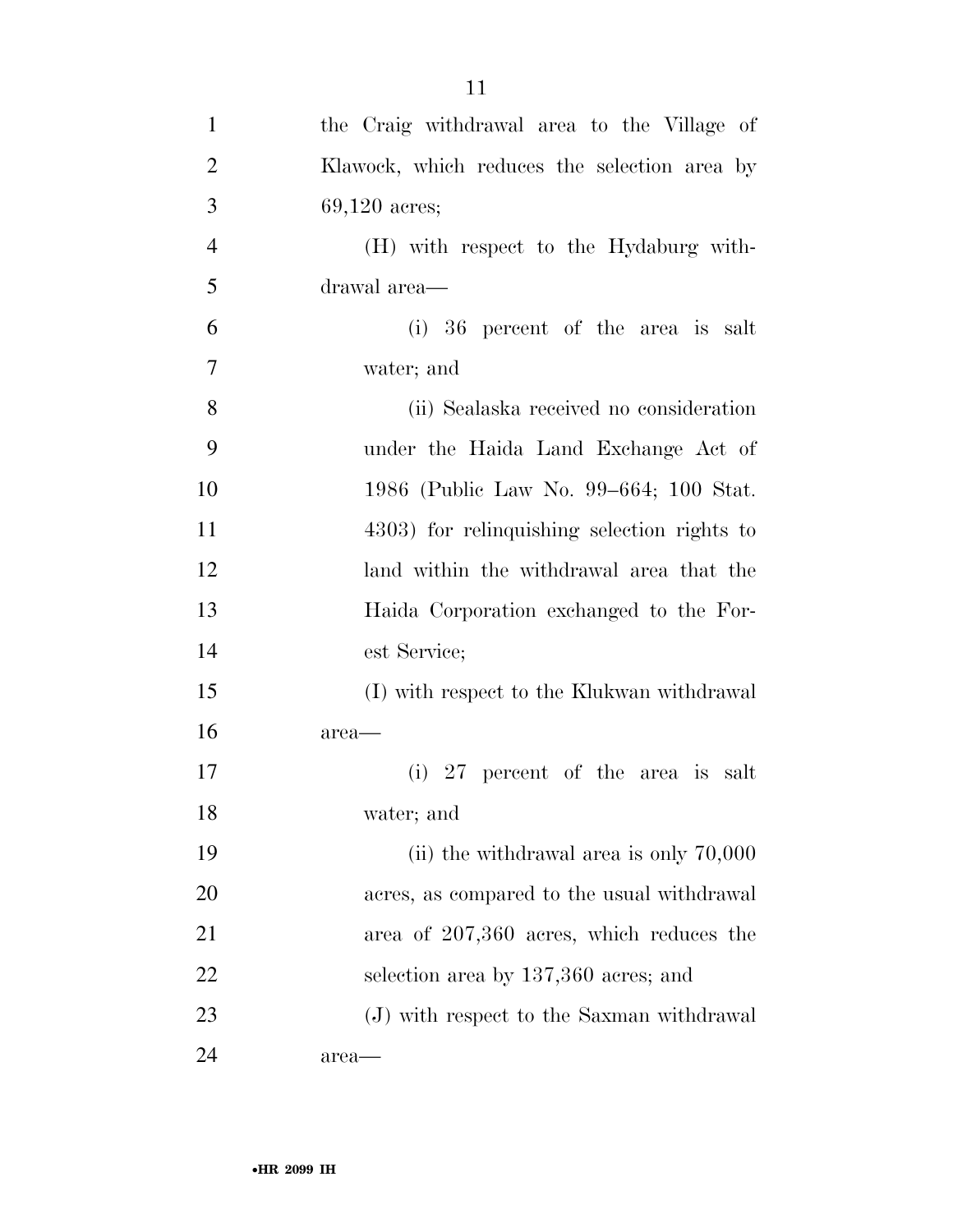| $\mathbf{1}$   | the Craig withdrawal area to the Village of  |
|----------------|----------------------------------------------|
| $\overline{2}$ | Klawock, which reduces the selection area by |
| 3              | $69,120$ acres;                              |
| $\overline{4}$ | (H) with respect to the Hydaburg with-       |
| 5              | drawal area—                                 |
| 6              | (i) 36 percent of the area is salt           |
| 7              | water; and                                   |
| 8              | (ii) Sealaska received no consideration      |
| 9              | under the Haida Land Exchange Act of         |
| 10             | 1986 (Public Law No. 99–664; 100 Stat.       |
| 11             | 4303) for relinquishing selection rights to  |
| 12             | land within the withdrawal area that the     |
| 13             | Haida Corporation exchanged to the For-      |
| 14             | est Service;                                 |
| 15             | (I) with respect to the Klukwan withdrawal   |
| 16             | area—                                        |
| 17             | (i) 27 percent of the area is salt           |
| 18             | water; and                                   |
| 19             | (ii) the withdrawal area is only $70,000$    |
| 20             | acres, as compared to the usual withdrawal   |
| 21             | area of 207,360 acres, which reduces the     |
| 22             | selection area by 137,360 acres; and         |
| 23             | (J) with respect to the Saxman withdrawal    |
| 24             | area—                                        |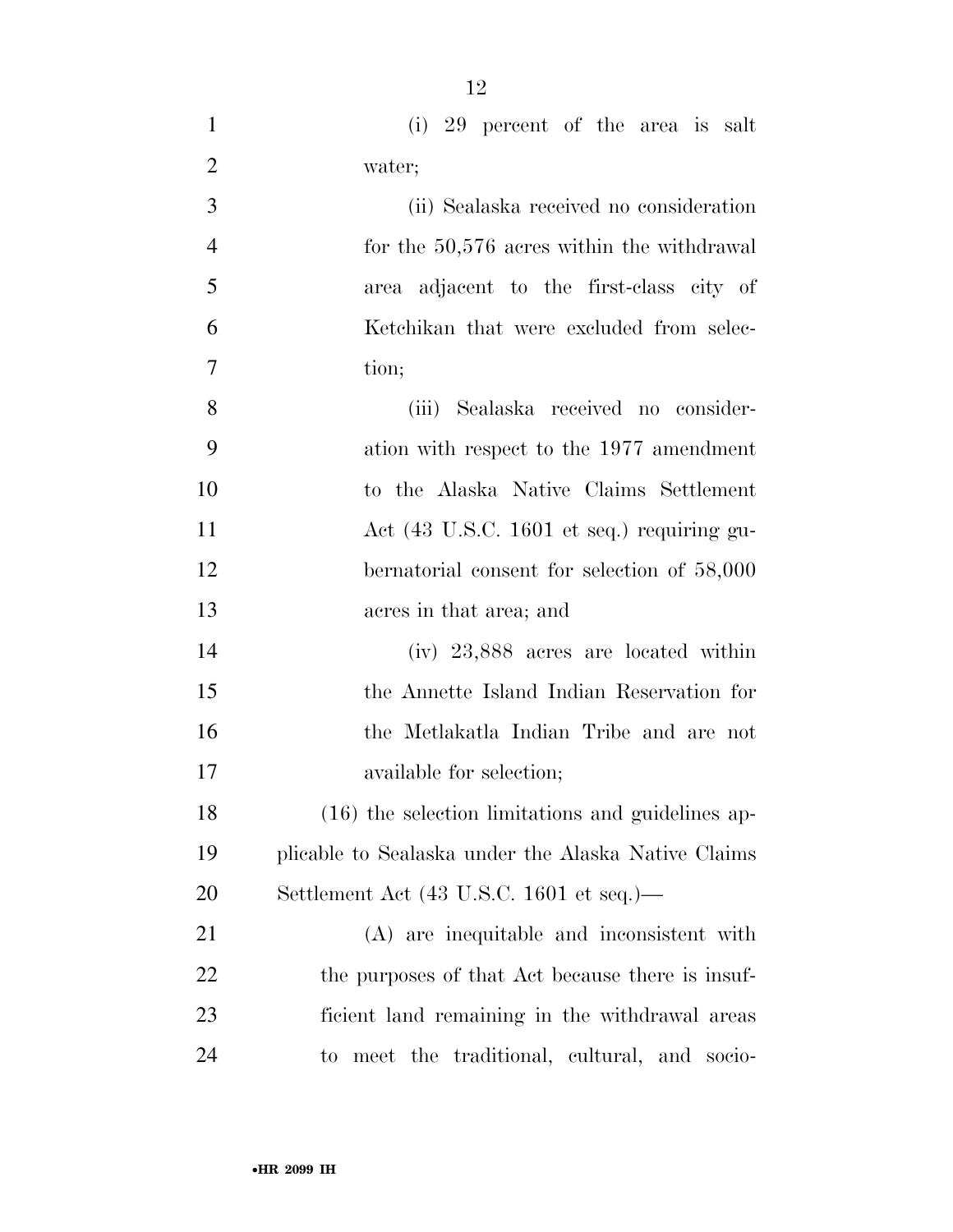- (i) 29 percent of the area is salt water; (ii) Sealaska received no consideration 4 for the 50,576 acres within the withdrawal area adjacent to the first-class city of Ketchikan that were excluded from selec- tion; (iii) Sealaska received no consider- ation with respect to the 1977 amendment to the Alaska Native Claims Settlement Act (43 U.S.C. 1601 et seq.) requiring gu- bernatorial consent for selection of 58,000 acres in that area; and (iv) 23,888 acres are located within the Annette Island Indian Reservation for the Metlakatla Indian Tribe and are not available for selection; (16) the selection limitations and guidelines ap- plicable to Sealaska under the Alaska Native Claims Settlement Act (43 U.S.C. 1601 et seq.)— (A) are inequitable and inconsistent with 22 the purposes of that Act because there is insuf-
- ficient land remaining in the withdrawal areas to meet the traditional, cultural, and socio-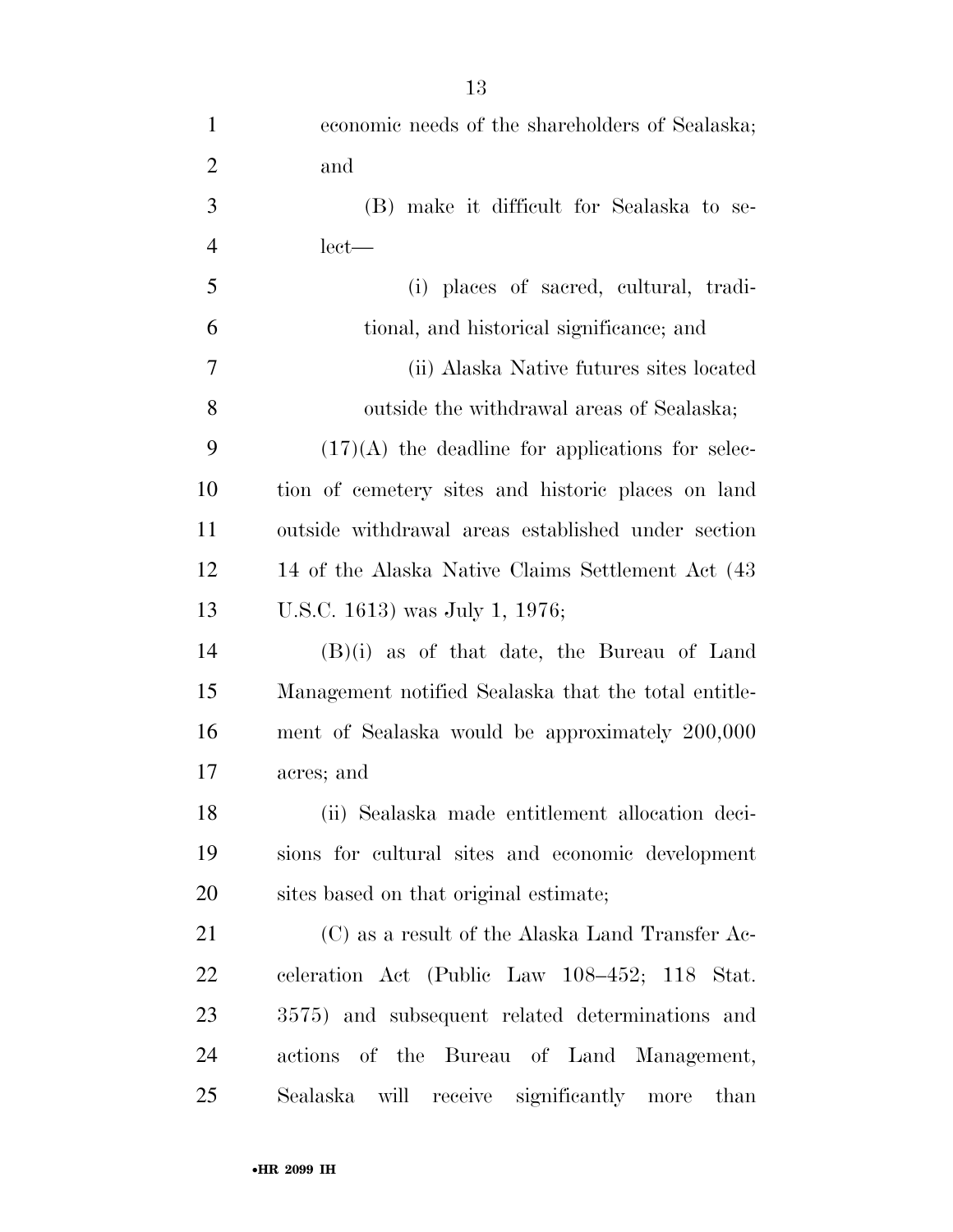| $\mathbf{1}$   | economic needs of the shareholders of Sealaska;      |
|----------------|------------------------------------------------------|
| $\overline{2}$ | and                                                  |
| 3              | (B) make it difficult for Sealaska to se-            |
| $\overline{4}$ | $let$ —                                              |
| 5              | (i) places of sacred, cultural, tradi-               |
| 6              | tional, and historical significance; and             |
| 7              | (ii) Alaska Native futures sites located             |
| 8              | outside the withdrawal areas of Sealaska;            |
| 9              | $(17)(A)$ the deadline for applications for selec-   |
| 10             | tion of cemetery sites and historic places on land   |
| 11             | outside withdrawal areas established under section   |
| 12             | 14 of the Alaska Native Claims Settlement Act (43)   |
| 13             | U.S.C. 1613) was July 1, 1976;                       |
| 14             | $(B)(i)$ as of that date, the Bureau of Land         |
| 15             | Management notified Sealaska that the total entitle- |
| 16             | ment of Sealaska would be approximately 200,000      |
| 17             | acres; and                                           |
| 18             | (ii) Sealaska made entitlement allocation deci-      |
| 19             | sions for cultural sites and economic development    |
| 20             | sites based on that original estimate;               |
| 21             | $(C)$ as a result of the Alaska Land Transfer Ac-    |
| 22             | celeration Act (Public Law 108-452; 118 Stat.        |
| 23             | 3575) and subsequent related determinations and      |
| 24             | actions of the Bureau of Land Management,            |
| 25             | Sealaska will receive significantly more<br>than     |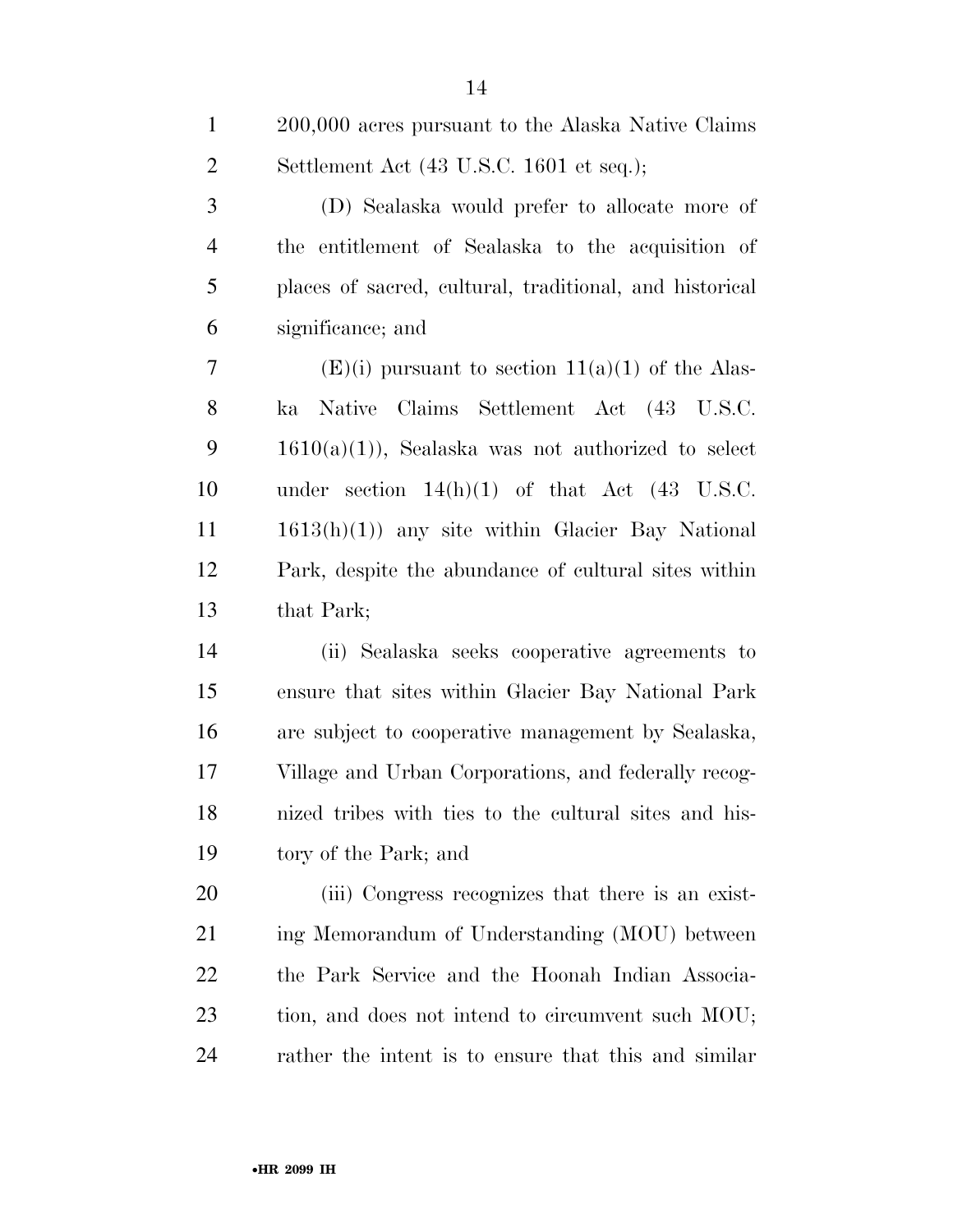| $\mathbf{1}$   | 200,000 acres pursuant to the Alaska Native Claims         |
|----------------|------------------------------------------------------------|
| $\overline{2}$ | Settlement Act (43 U.S.C. 1601 et seq.);                   |
| 3              | (D) Sealaska would prefer to allocate more of              |
| $\overline{4}$ | the entitlement of Sealaska to the acquisition of          |
| 5              | places of sacred, cultural, traditional, and historical    |
| 6              | significance; and                                          |
| $\tau$         | $(E)(i)$ pursuant to section $11(a)(1)$ of the Alas-       |
| 8              | Native Claims Settlement Act (43 U.S.C.<br>ka              |
| 9              | $1610(a)(1)$ , Sealaska was not authorized to select       |
| 10             | under section $14(h)(1)$ of that Act $(43 \text{ U.S.C.})$ |
| 11             | $1613(h)(1)$ any site within Glacier Bay National          |
| 12             | Park, despite the abundance of cultural sites within       |
| 13             | that Park;                                                 |
| 14             | (ii) Sealaska seeks cooperative agreements to              |
| 15             | ensure that sites within Glacier Bay National Park         |
| 16             | are subject to cooperative management by Sealaska,         |
| 17             | Village and Urban Corporations, and federally recog-       |
| 18             | nized tribes with ties to the cultural sites and his-      |
| 19             | tory of the Park; and                                      |
| 20             | (iii) Congress recognizes that there is an exist-          |
|                |                                                            |

 ing Memorandum of Understanding (MOU) between the Park Service and the Hoonah Indian Associa- tion, and does not intend to circumvent such MOU; rather the intent is to ensure that this and similar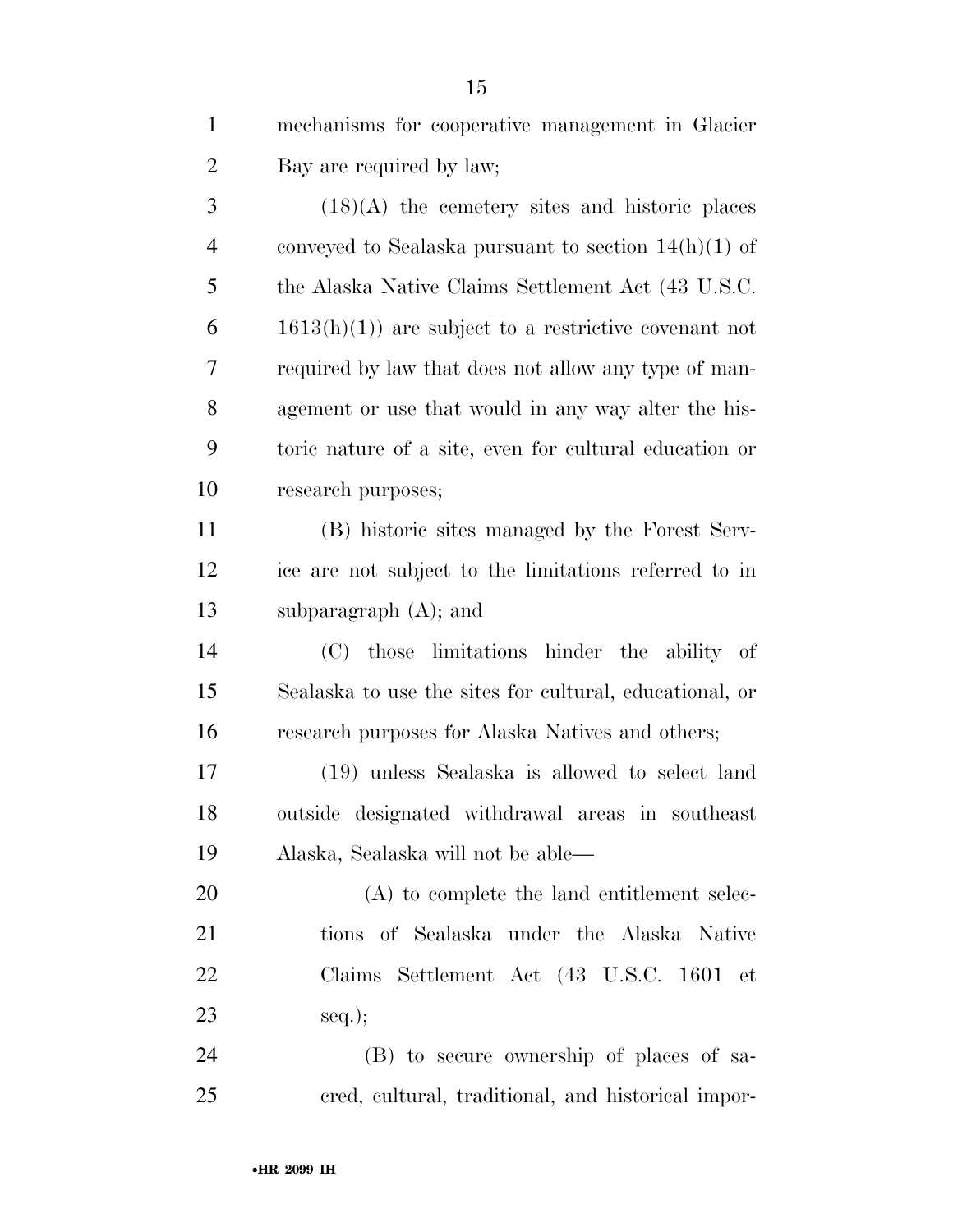| mechanisms for cooperative management in Glacier |
|--------------------------------------------------|
| Bay are required by law;                         |

 $3 \t(18)(A)$  the cemetery sites and historic places conveyed to Sealaska pursuant to section 14(h)(1) of the Alaska Native Claims Settlement Act (43 U.S.C.  $6 \qquad 1613(h)(1)$  are subject to a restrictive covenant not required by law that does not allow any type of man- agement or use that would in any way alter the his- toric nature of a site, even for cultural education or research purposes;

 (B) historic sites managed by the Forest Serv- ice are not subject to the limitations referred to in subparagraph (A); and

 (C) those limitations hinder the ability of Sealaska to use the sites for cultural, educational, or research purposes for Alaska Natives and others;

 (19) unless Sealaska is allowed to select land outside designated withdrawal areas in southeast Alaska, Sealaska will not be able—

 (A) to complete the land entitlement selec- tions of Sealaska under the Alaska Native Claims Settlement Act (43 U.S.C. 1601 et seq.);

 (B) to secure ownership of places of sa-cred, cultural, traditional, and historical impor-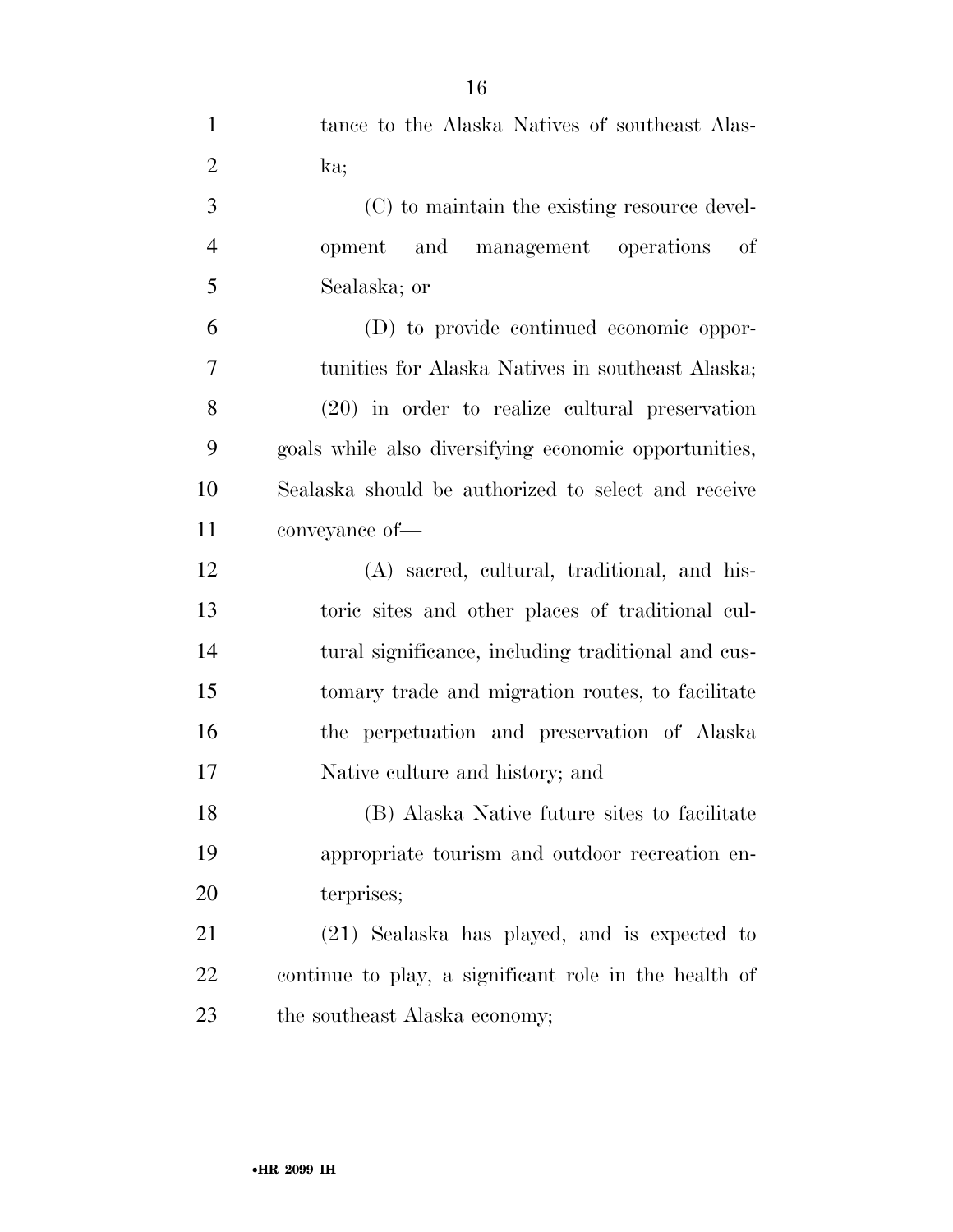| $\mathbf{1}$   | tance to the Alaska Natives of southeast Alas-        |
|----------------|-------------------------------------------------------|
| $\overline{2}$ | ka;                                                   |
| 3              | (C) to maintain the existing resource devel-          |
| $\overline{4}$ | opment and management operations of                   |
| 5              | Sealaska; or                                          |
| 6              | (D) to provide continued economic oppor-              |
| $\overline{7}$ | tunities for Alaska Natives in southeast Alaska;      |
| 8              | $(20)$ in order to realize cultural preservation      |
| 9              | goals while also diversifying economic opportunities, |
| 10             | Sealaska should be authorized to select and receive   |
| 11             | conveyance of-                                        |
| 12             | (A) sacred, cultural, traditional, and his-           |
| 13             | toric sites and other places of traditional cul-      |
| 14             | tural significance, including traditional and cus-    |
| 15             | tomary trade and migration routes, to facilitate      |
| 16             | the perpetuation and preservation of Alaska           |
| 17             | Native culture and history; and                       |
| 18             | (B) Alaska Native future sites to facilitate          |
| 19             | appropriate tourism and outdoor recreation en-        |
| 20             | terprises;                                            |
| 21             | (21) Sealaska has played, and is expected to          |
| 22             | continue to play, a significant role in the health of |
| 23             | the southeast Alaska economy;                         |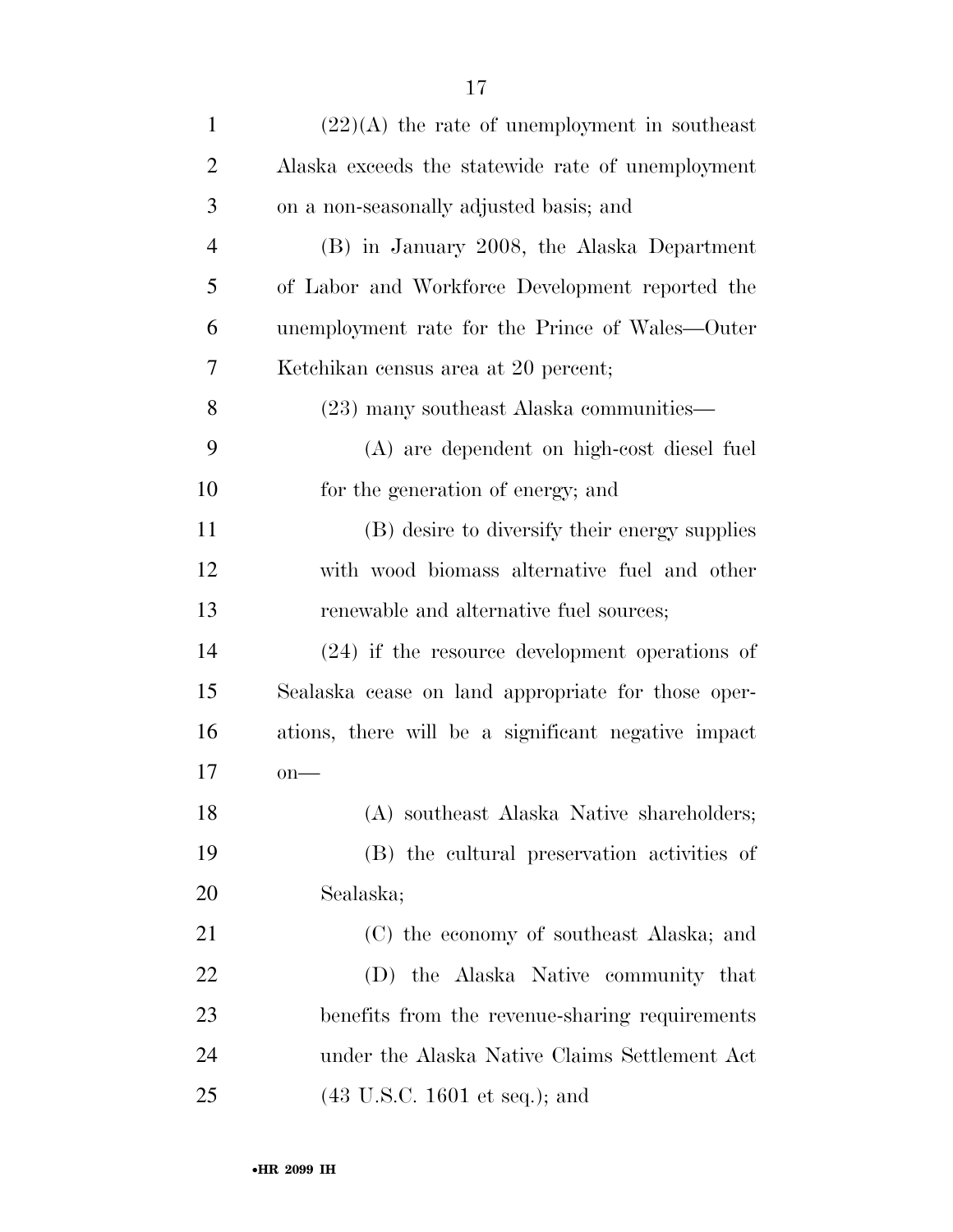| $\mathbf{1}$   | $(22)(A)$ the rate of unemployment in southeast     |
|----------------|-----------------------------------------------------|
| $\overline{2}$ | Alaska exceeds the statewide rate of unemployment   |
| 3              | on a non-seasonally adjusted basis; and             |
| $\overline{4}$ | (B) in January 2008, the Alaska Department          |
| 5              | of Labor and Workforce Development reported the     |
| 6              | unemployment rate for the Prince of Wales—Outer     |
| 7              | Ketchikan census area at 20 percent;                |
| 8              | (23) many southeast Alaska communities—             |
| 9              | (A) are dependent on high-cost diesel fuel          |
| 10             | for the generation of energy; and                   |
| 11             | (B) desire to diversify their energy supplies       |
| 12             | with wood biomass alternative fuel and other        |
| 13             | renewable and alternative fuel sources;             |
| 14             | $(24)$ if the resource development operations of    |
| 15             | Sealaska cease on land appropriate for those oper-  |
| 16             | ations, there will be a significant negative impact |
| 17             | $on$ —                                              |
| 18             | (A) southeast Alaska Native shareholders;           |
| 19             | (B) the cultural preservation activities of         |
| <b>20</b>      | Sealaska;                                           |
| 21             | (C) the economy of southeast Alaska; and            |
| 22             | (D) the Alaska Native community that                |
| 23             | benefits from the revenue-sharing requirements      |
| 24             | under the Alaska Native Claims Settlement Act       |
| 25             | $(43 \text{ U.S.C. } 1601 \text{ et seq.});$ and    |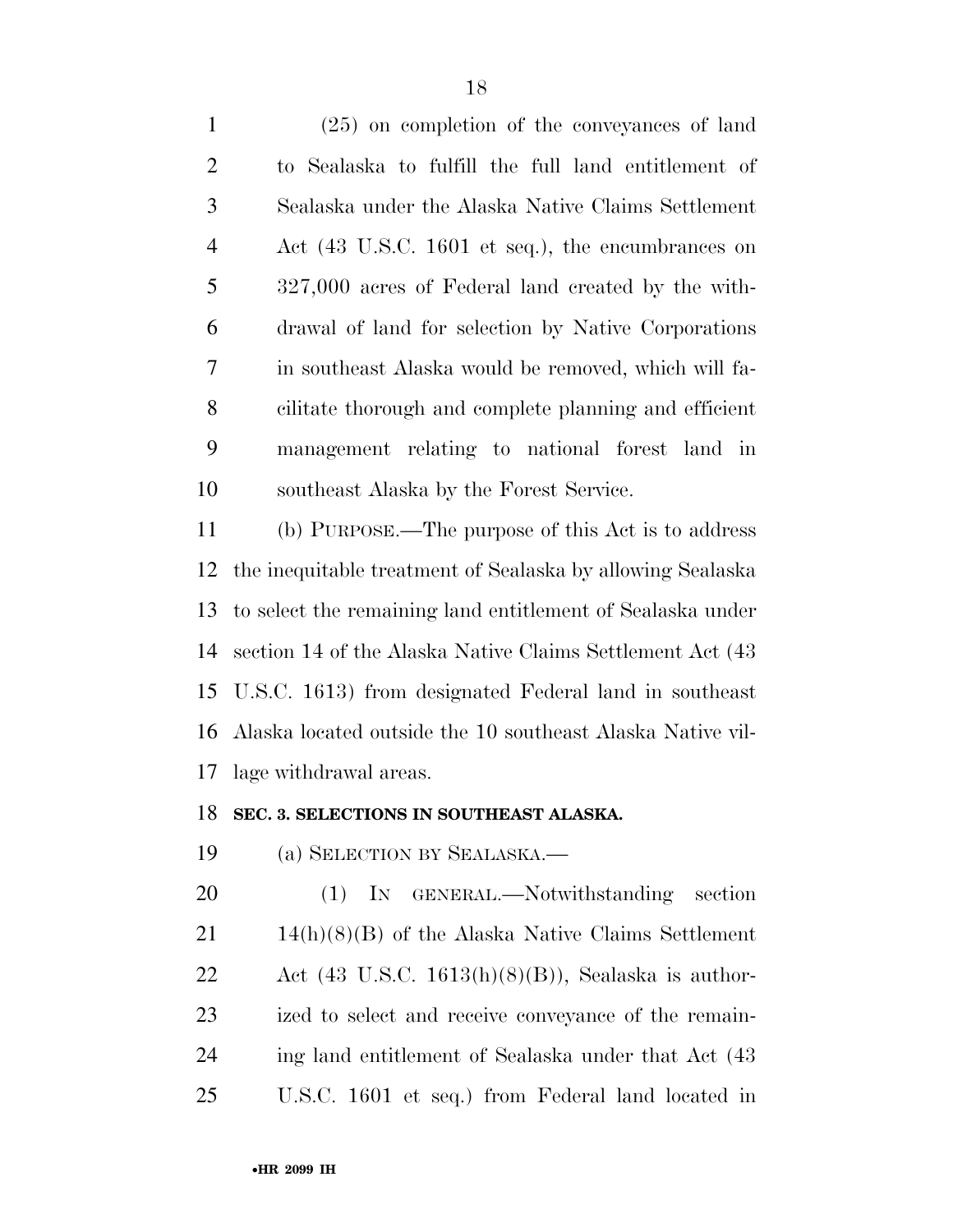(25) on completion of the conveyances of land to Sealaska to fulfill the full land entitlement of Sealaska under the Alaska Native Claims Settlement Act (43 U.S.C. 1601 et seq.), the encumbrances on 327,000 acres of Federal land created by the with- drawal of land for selection by Native Corporations in southeast Alaska would be removed, which will fa- cilitate thorough and complete planning and efficient management relating to national forest land in southeast Alaska by the Forest Service.

 (b) PURPOSE.—The purpose of this Act is to address the inequitable treatment of Sealaska by allowing Sealaska to select the remaining land entitlement of Sealaska under section 14 of the Alaska Native Claims Settlement Act (43 U.S.C. 1613) from designated Federal land in southeast Alaska located outside the 10 southeast Alaska Native vil-lage withdrawal areas.

#### **SEC. 3. SELECTIONS IN SOUTHEAST ALASKA.**

(a) SELECTION BY SEALASKA.—

20 (1) IN GENERAL.—Notwithstanding section 14(h)(8)(B) of the Alaska Native Claims Settlement 22 Act  $(43 \text{ U.S.C. } 1613(h)(8)(B))$ , Sealaska is author- ized to select and receive conveyance of the remain- ing land entitlement of Sealaska under that Act (43 U.S.C. 1601 et seq.) from Federal land located in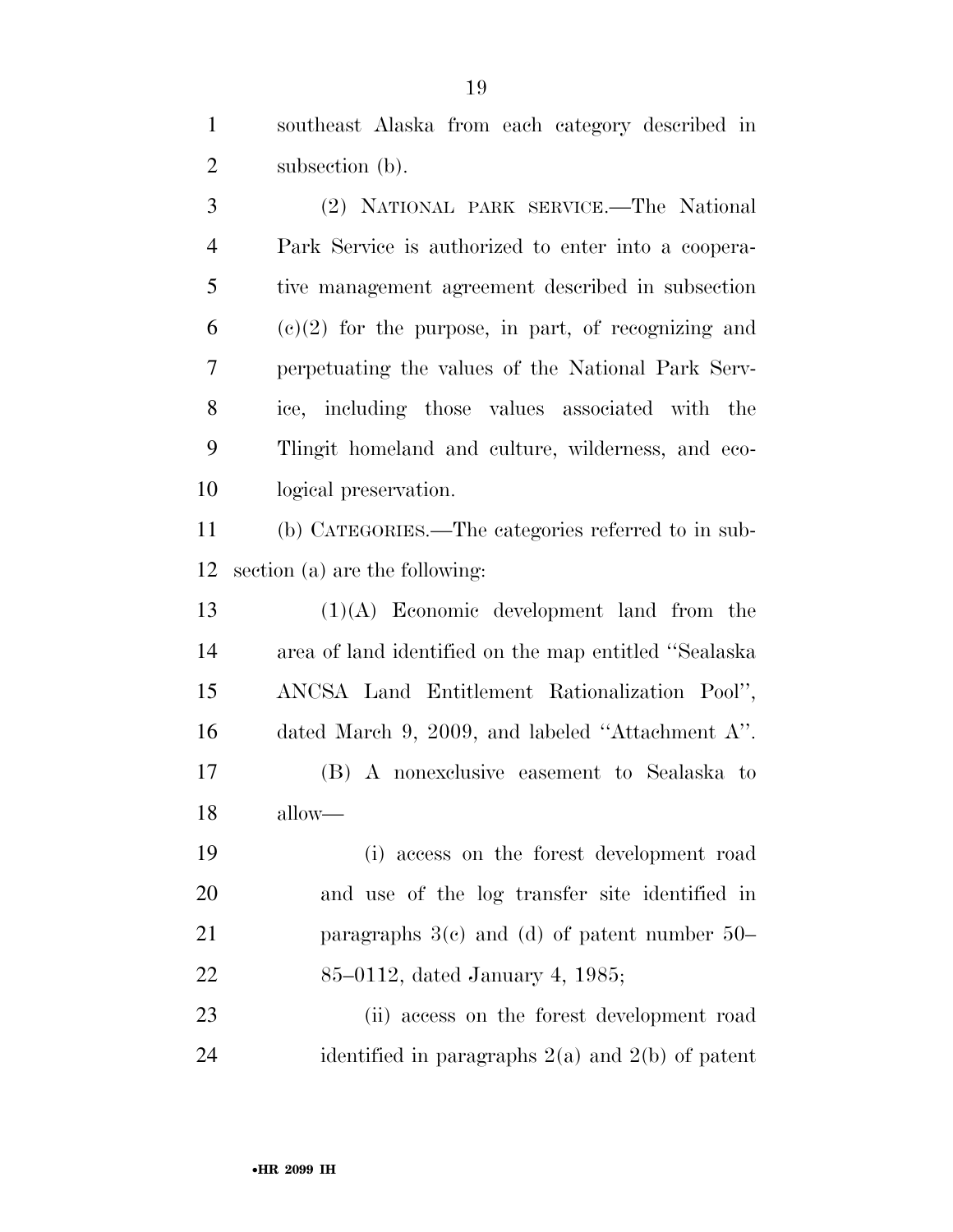southeast Alaska from each category described in 2 subsection (b).

 (2) NATIONAL PARK SERVICE.—The National Park Service is authorized to enter into a coopera- tive management agreement described in subsection (c)(2) for the purpose, in part, of recognizing and perpetuating the values of the National Park Serv- ice, including those values associated with the Tlingit homeland and culture, wilderness, and eco-logical preservation.

 (b) CATEGORIES.—The categories referred to in sub-section (a) are the following:

 (1)(A) Economic development land from the area of land identified on the map entitled ''Sealaska ANCSA Land Entitlement Rationalization Pool'', dated March 9, 2009, and labeled ''Attachment A''. (B) A nonexclusive easement to Sealaska to allow—

 (i) access on the forest development road and use of the log transfer site identified in paragraphs 3(c) and (d) of patent number 50– 85–0112, dated January 4, 1985;

 (ii) access on the forest development road 24 identified in paragraphs  $2(a)$  and  $2(b)$  of patent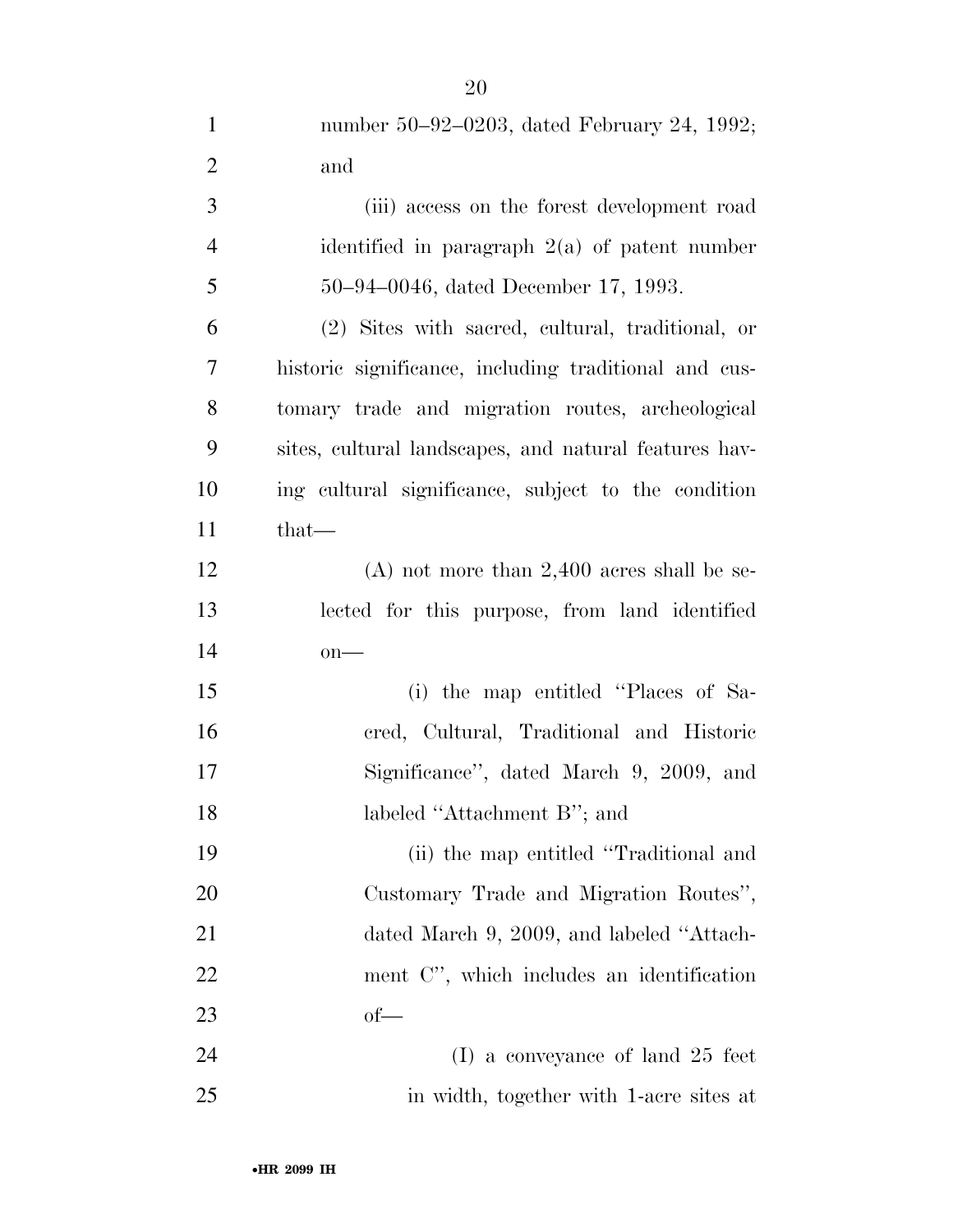| $\mathbf{1}$   | number 50–92–0203, dated February 24, 1992;           |
|----------------|-------------------------------------------------------|
| $\overline{2}$ | and                                                   |
| 3              | (iii) access on the forest development road           |
| $\overline{4}$ | identified in paragraph $2(a)$ of patent number       |
| 5              | 50–94–0046, dated December 17, 1993.                  |
| 6              | (2) Sites with sacred, cultural, traditional, or      |
| $\overline{7}$ | historic significance, including traditional and cus- |
| 8              | tomary trade and migration routes, archeological      |
| 9              | sites, cultural landscapes, and natural features hav- |
| 10             | ing cultural significance, subject to the condition   |
| 11             | $that-$                                               |
| 12             | $(A)$ not more than 2,400 acres shall be se-          |
| 13             | lected for this purpose, from land identified         |
| 14             | $on$ —                                                |
| 15             | (i) the map entitled "Places of Sa-                   |
| 16             | cred, Cultural, Traditional and Historic              |
| 17             | Significance", dated March 9, 2009, and               |
| 18             | labeled "Attachment B"; and                           |
| 19             | (ii) the map entitled "Traditional and                |
| 20             | Customary Trade and Migration Routes",                |
| 21             | dated March 9, 2009, and labeled "Attach-             |
| 22             | ment C", which includes an identification             |
| 23             | $of$ —                                                |
| 24             | $(I)$ a conveyance of land 25 feet                    |
| 25             | in width, together with 1-acre sites at               |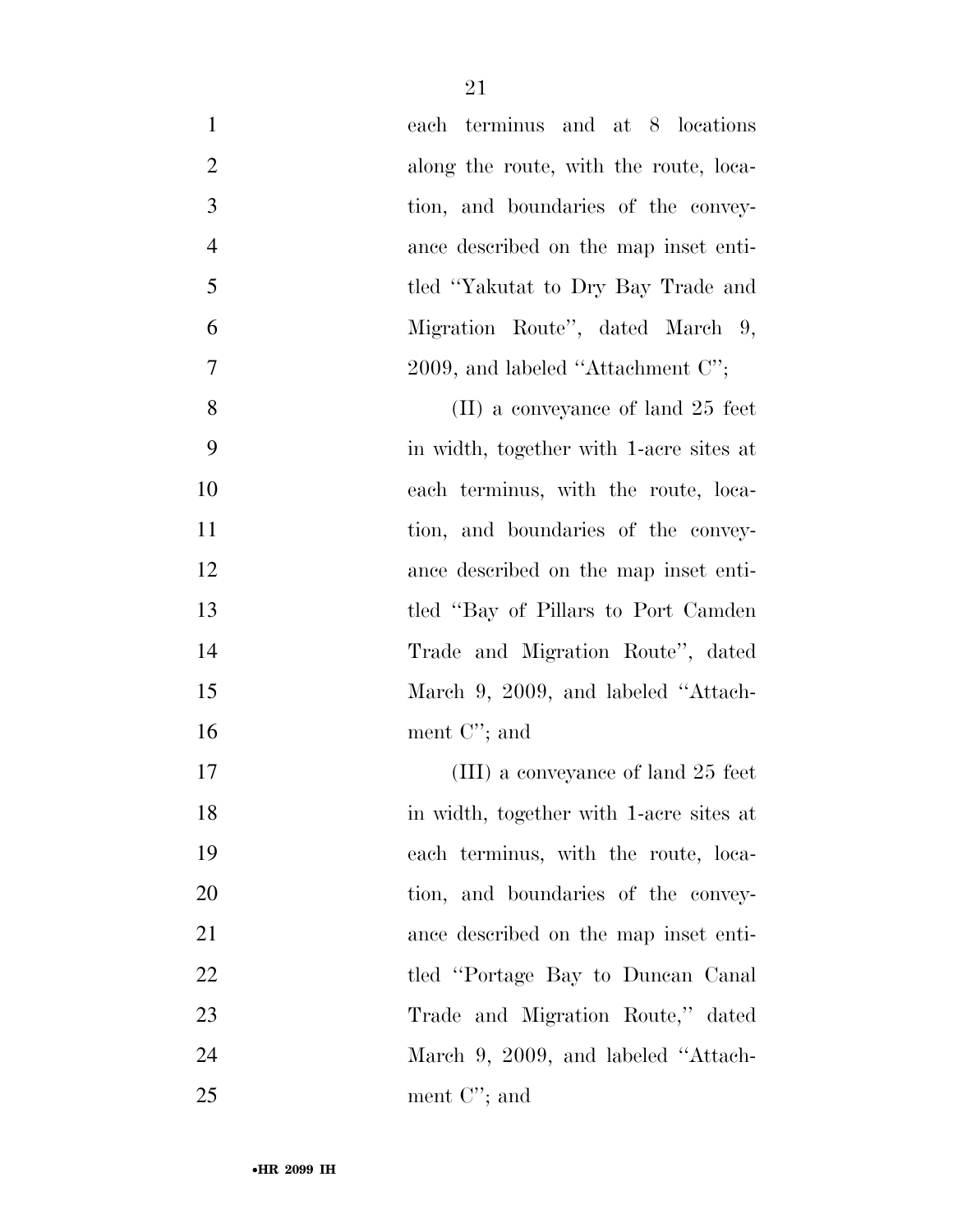| $\mathbf{1}$   | each terminus and at 8 locations        |
|----------------|-----------------------------------------|
| $\overline{2}$ | along the route, with the route, loca-  |
| 3              | tion, and boundaries of the convey-     |
| $\overline{4}$ | ance described on the map inset enti-   |
| 5              | tled "Yakutat to Dry Bay Trade and      |
| 6              | Migration Route", dated March 9,        |
| $\tau$         | 2009, and labeled "Attachment $C$ ";    |
| 8              | $(II)$ a conveyance of land 25 feet     |
| 9              | in width, together with 1-acre sites at |
| 10             | each terminus, with the route, loca-    |
| 11             | tion, and boundaries of the convey-     |
| 12             | ance described on the map inset enti-   |
| 13             | tled "Bay of Pillars to Port Camden"    |
| 14             | Trade and Migration Route", dated       |
| 15             | March 9, 2009, and labeled "Attach-     |
| 16             | ment $C$ "; and                         |
| 17             | (III) a conveyance of land 25 feet      |
| 18             | in width, together with 1-acre sites at |
| 19             | each terminus, with the route, loca-    |
| 20             | tion, and boundaries of the convey-     |
| 21             | ance described on the map inset enti-   |
| 22             | tled "Portage Bay to Duncan Canal"      |
| 23             | Trade and Migration Route," dated       |
| 24             | March 9, 2009, and labeled "Attach-     |
| 25             | ment $C$ "; and                         |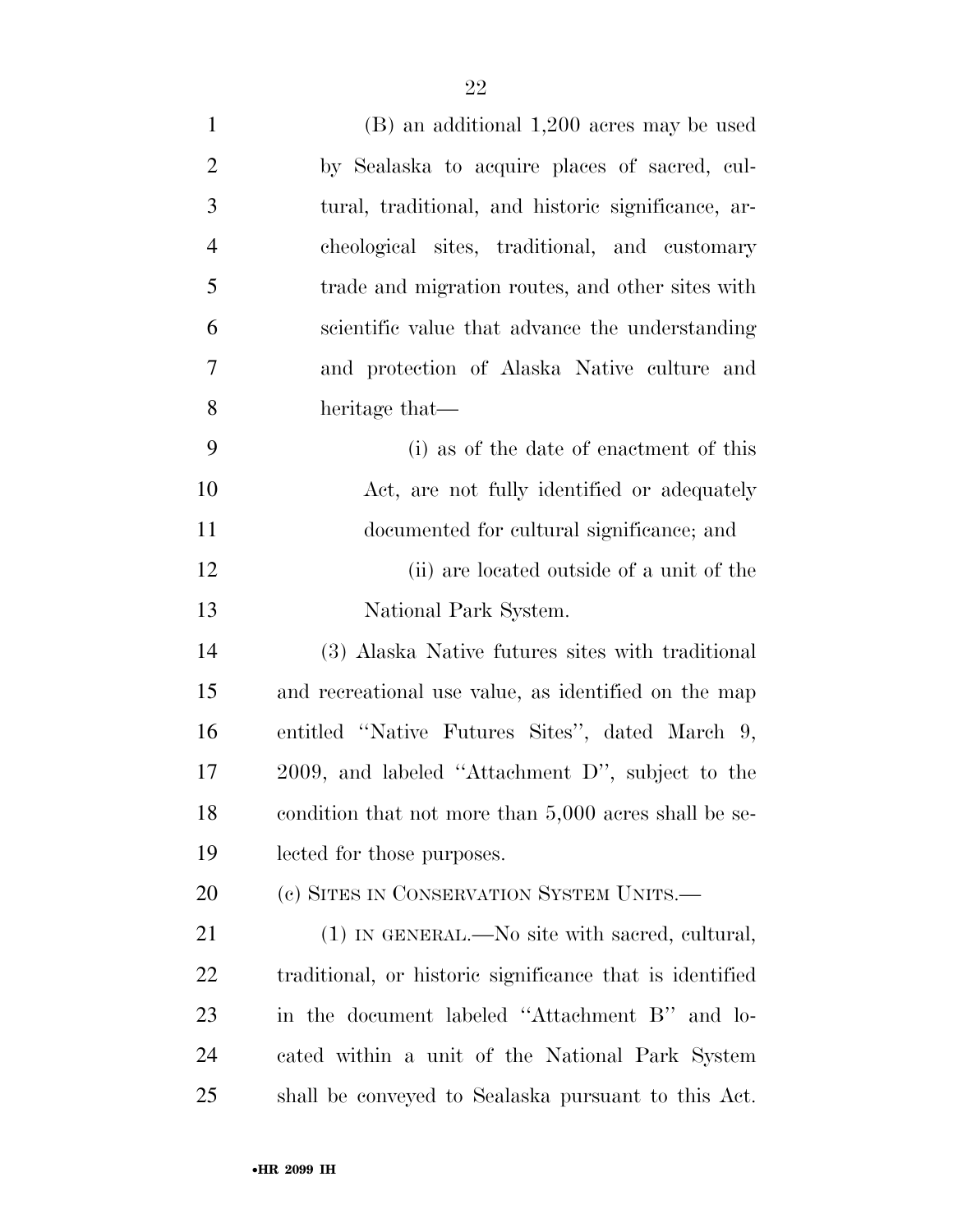| $\mathbf{1}$   | $(B)$ an additional 1,200 acres may be used              |
|----------------|----------------------------------------------------------|
| $\overline{2}$ | by Sealaska to acquire places of sacred, cul-            |
| 3              | tural, traditional, and historic significance, ar-       |
| $\overline{4}$ | cheological sites, traditional, and customary            |
| 5              | trade and migration routes, and other sites with         |
| 6              | scientific value that advance the understanding          |
| 7              | and protection of Alaska Native culture and              |
| 8              | heritage that—                                           |
| 9              | (i) as of the date of enactment of this                  |
| 10             | Act, are not fully identified or adequately              |
| 11             | documented for cultural significance; and                |
| 12             | (ii) are located outside of a unit of the                |
| 13             | National Park System.                                    |
| 14             | (3) Alaska Native futures sites with traditional         |
| 15             | and recreational use value, as identified on the map     |
| 16             | entitled "Native Futures Sites", dated March 9,          |
| 17             | 2009, and labeled "Attachment D", subject to the         |
| 18             | condition that not more than 5,000 acres shall be se-    |
| 19             | lected for those purposes.                               |
| 20             | (c) SITES IN CONSERVATION SYSTEM UNITS.—                 |
| 21             | $(1)$ IN GENERAL.—No site with sacred, cultural,         |
| 22             | traditional, or historic significance that is identified |
| 23             | in the document labeled "Attachment B" and lo-           |
| 24             | cated within a unit of the National Park System          |
| 25             | shall be conveyed to Sealaska pursuant to this Act.      |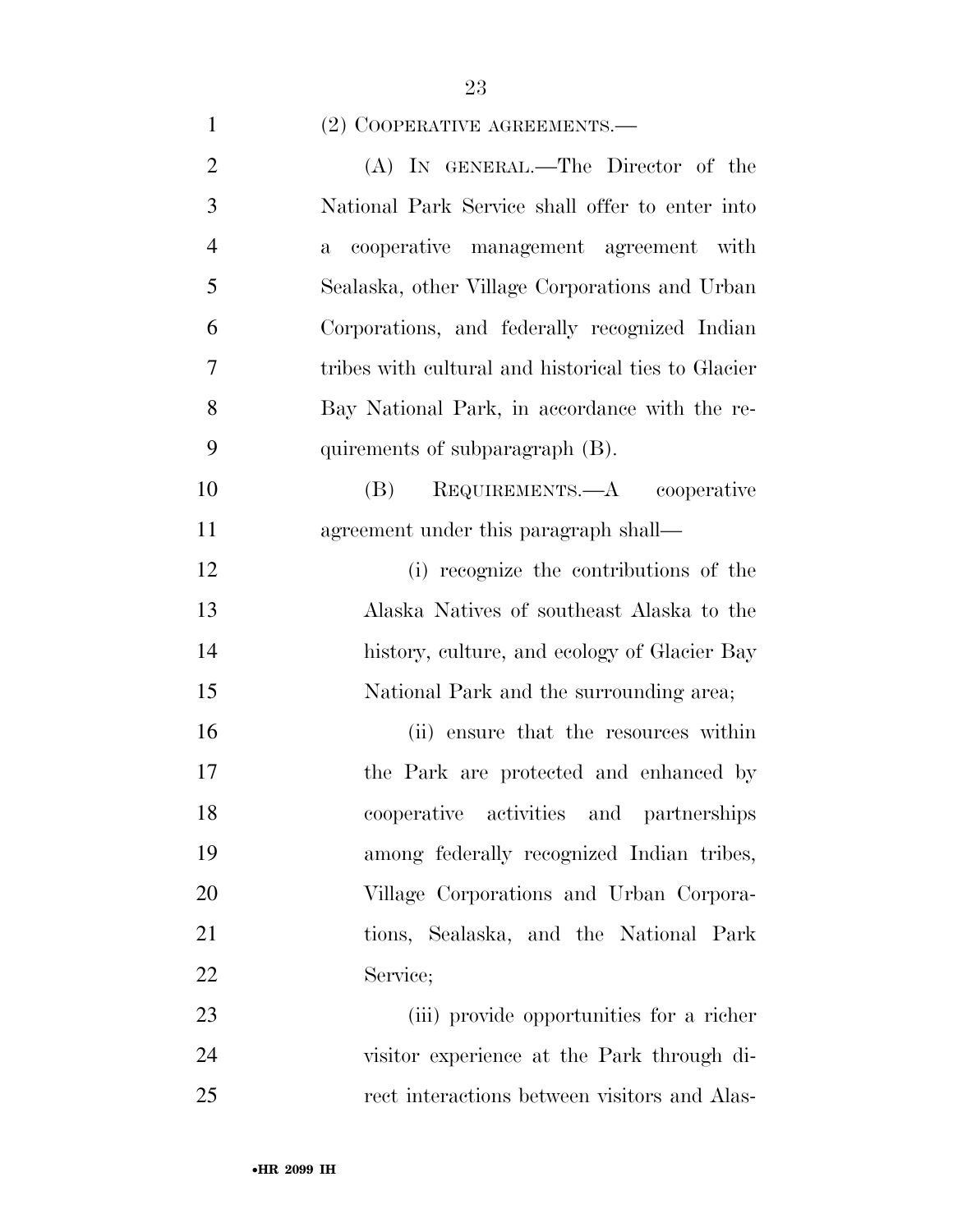## 1 (2) COOPERATIVE AGREEMENTS.—

| $\overline{2}$ | (A) IN GENERAL.—The Director of the                   |
|----------------|-------------------------------------------------------|
| 3              | National Park Service shall offer to enter into       |
| $\overline{4}$ | cooperative management agreement with<br>$\mathbf{a}$ |
| 5              | Sealaska, other Village Corporations and Urban        |
| 6              | Corporations, and federally recognized Indian         |
| $\tau$         | tribes with cultural and historical ties to Glacier   |
| 8              | Bay National Park, in accordance with the re-         |
| 9              | quirements of subparagraph (B).                       |
| 10             | REQUIREMENTS.—A cooperative<br>(B)                    |
| 11             | agreement under this paragraph shall—                 |
| 12             | (i) recognize the contributions of the                |
| 13             | Alaska Natives of southeast Alaska to the             |
| 14             | history, culture, and ecology of Glacier Bay          |
| 15             | National Park and the surrounding area;               |
| 16             | (ii) ensure that the resources within                 |
| 17             | the Park are protected and enhanced by                |
| 18             | cooperative activities and partnerships               |
| 19             | among federally recognized Indian tribes,             |
| 20             | Village Corporations and Urban Corpora-               |
| 21             | tions, Sealaska, and the National Park                |
| 22             | Service;                                              |
| 23             | (iii) provide opportunities for a richer              |
| 24             | visitor experience at the Park through di-            |
| 25             | rect interactions between visitors and Alas-          |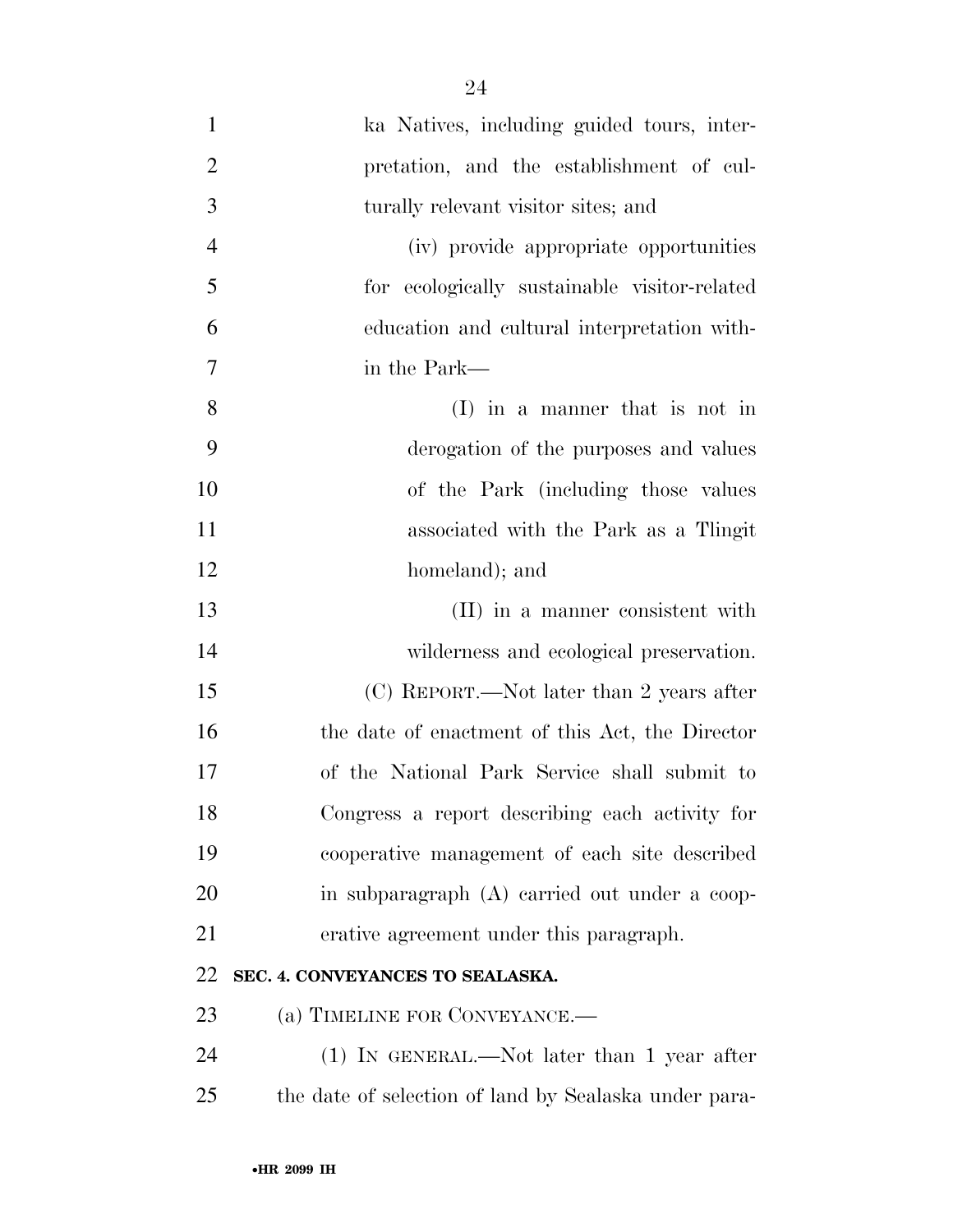| $\mathbf{1}$   | ka Natives, including guided tours, inter-            |
|----------------|-------------------------------------------------------|
| $\overline{2}$ | pretation, and the establishment of cul-              |
| 3              | turally relevant visitor sites; and                   |
| $\overline{4}$ | (iv) provide appropriate opportunities                |
| 5              | for ecologically sustainable visitor-related          |
| 6              | education and cultural interpretation with-           |
| 7              | in the Park—                                          |
| 8              | $(I)$ in a manner that is not in                      |
| 9              | derogation of the purposes and values                 |
| 10             | of the Park (including those values                   |
| 11             | associated with the Park as a Tlingit                 |
| 12             | homeland); and                                        |
| 13             | (II) in a manner consistent with                      |
| 14             | wilderness and ecological preservation.               |
| 15             | (C) REPORT.—Not later than 2 years after              |
| 16             | the date of enactment of this Act, the Director       |
| 17             | of the National Park Service shall submit to          |
| 18             | Congress a report describing each activity for        |
| 19             | cooperative management of each site described         |
| 20             | in subparagraph (A) carried out under a coop-         |
| 21             | erative agreement under this paragraph.               |
| 22             | SEC. 4. CONVEYANCES TO SEALASKA.                      |
| 23             | (a) TIMELINE FOR CONVEYANCE.—                         |
| 24             | $(1)$ IN GENERAL.—Not later than 1 year after         |
| 25             | the date of selection of land by Sealaska under para- |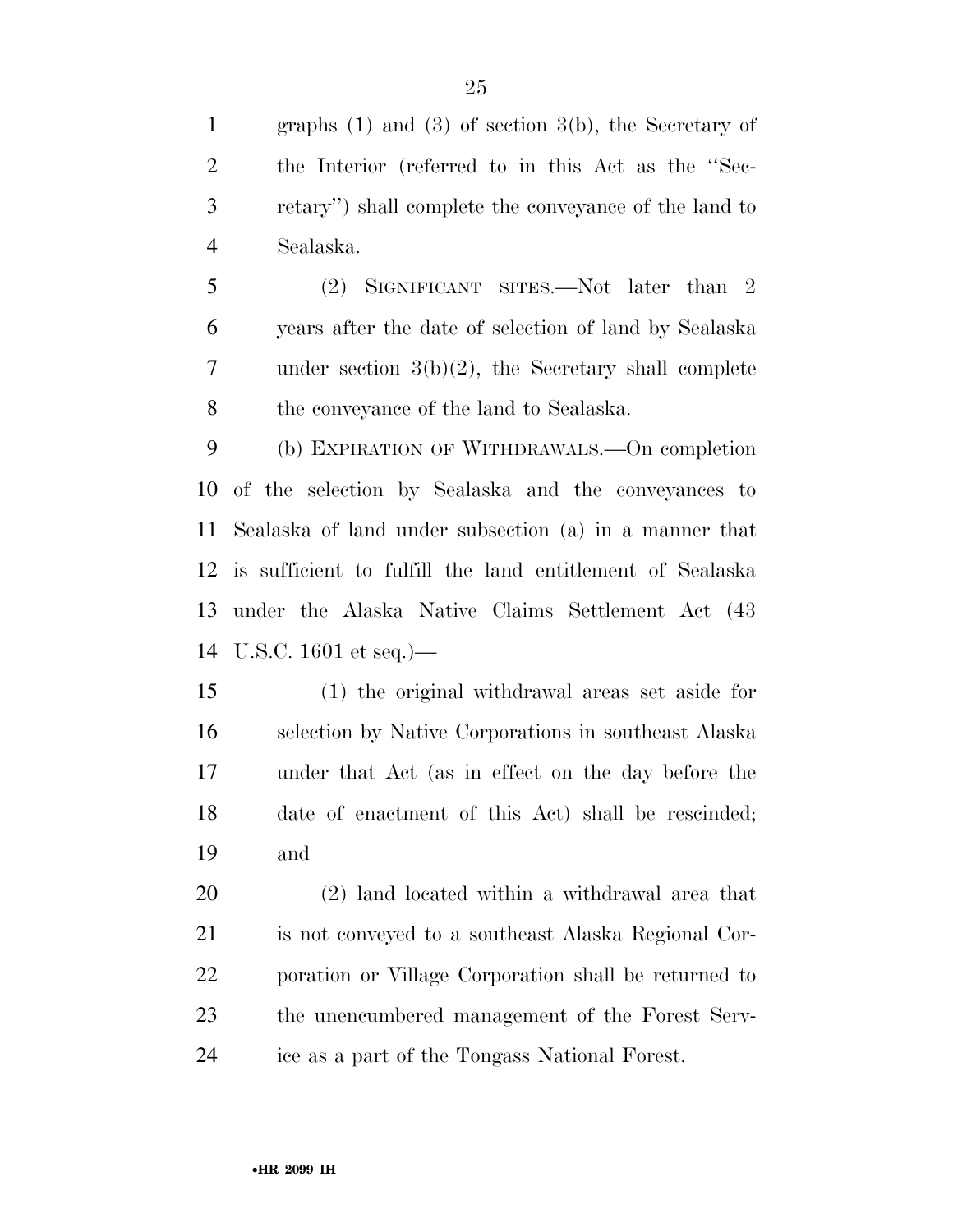graphs (1) and (3) of section 3(b), the Secretary of the Interior (referred to in this Act as the ''Sec- retary'') shall complete the conveyance of the land to Sealaska.

 (2) SIGNIFICANT SITES.—Not later than 2 years after the date of selection of land by Sealaska under section 3(b)(2), the Secretary shall complete the conveyance of the land to Sealaska.

 (b) EXPIRATION OF WITHDRAWALS.—On completion of the selection by Sealaska and the conveyances to Sealaska of land under subsection (a) in a manner that is sufficient to fulfill the land entitlement of Sealaska under the Alaska Native Claims Settlement Act (43 U.S.C. 1601 et seq.)—

 (1) the original withdrawal areas set aside for selection by Native Corporations in southeast Alaska under that Act (as in effect on the day before the date of enactment of this Act) shall be rescinded; and

 (2) land located within a withdrawal area that is not conveyed to a southeast Alaska Regional Cor- poration or Village Corporation shall be returned to the unencumbered management of the Forest Serv-ice as a part of the Tongass National Forest.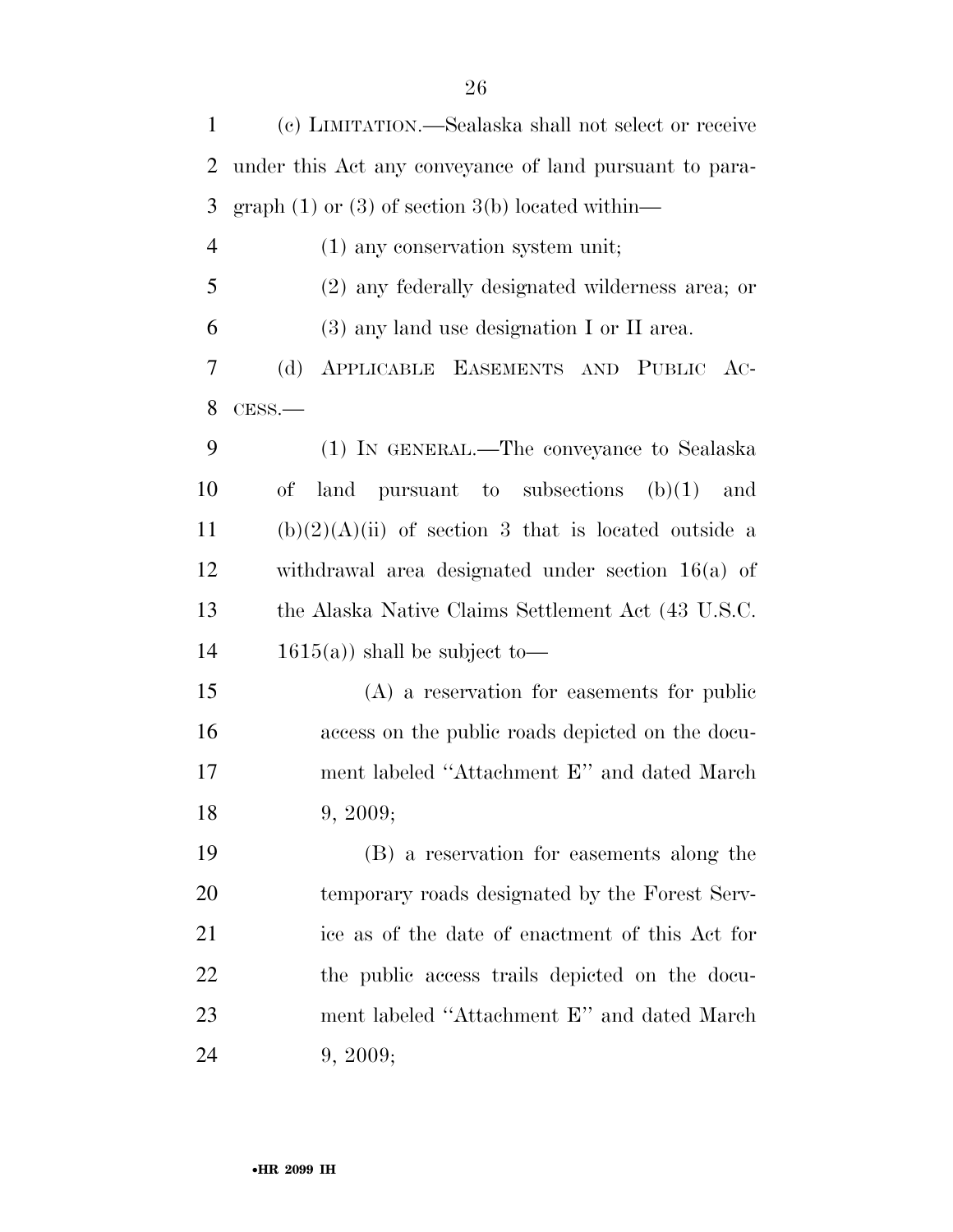| $\mathbf{1}$   | (c) LIMITATION.—Sealaska shall not select or receive    |
|----------------|---------------------------------------------------------|
| 2              | under this Act any conveyance of land pursuant to para- |
| 3              | graph $(1)$ or $(3)$ of section $3(b)$ located within—  |
| $\overline{4}$ | $(1)$ any conservation system unit;                     |
| 5              | (2) any federally designated wilderness area; or        |
| 6              | $(3)$ any land use designation I or II area.            |
| 7              | (d)<br>APPLICABLE EASEMENTS AND PUBLIC AC-              |
| 8              | $CESS$ .                                                |
| 9              | (1) IN GENERAL.—The conveyance to Sealaska              |
| 10             | land pursuant to subsections $(b)(1)$<br>of<br>and      |
| 11             | $(b)(2)(A)(ii)$ of section 3 that is located outside a  |
| 12             | withdrawal area designated under section $16(a)$ of     |
| 13             | the Alaska Native Claims Settlement Act (43 U.S.C.      |
| 14             | $1615(a)$ shall be subject to-                          |
| 15             | $(A)$ a reservation for easements for public            |
| 16             | access on the public roads depicted on the docu-        |
| 17             | ment labeled "Attachment E" and dated March             |
| 18             | 9, 2009;                                                |
| 19             | (B) a reservation for easements along the               |
| 20             | temporary roads designated by the Forest Serv-          |
| 21             | ice as of the date of enactment of this Act for         |
| 22             | the public access trails depicted on the docu-          |
| 23             | ment labeled "Attachment E" and dated March             |
| 24             | 9, 2009;                                                |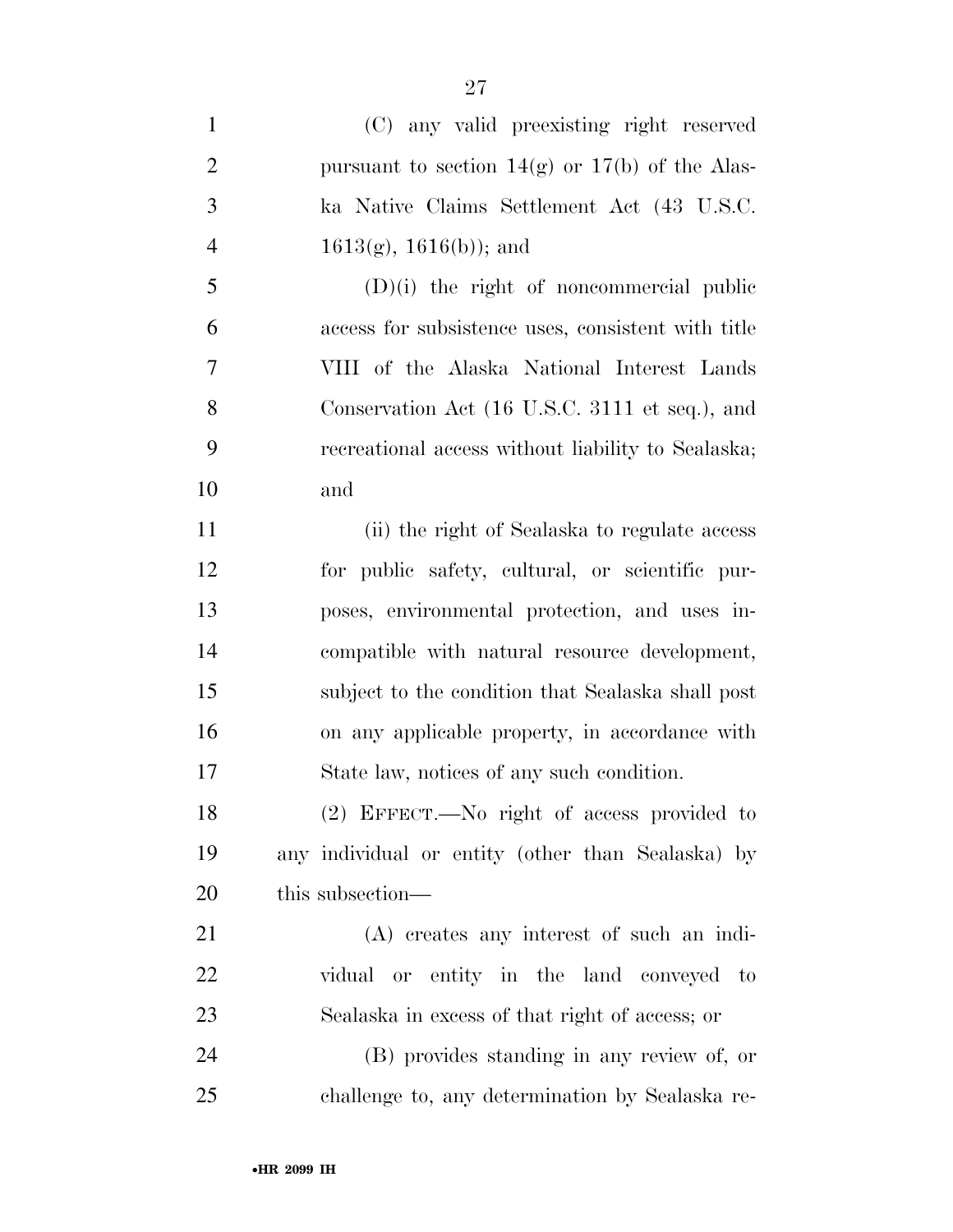| $\mathbf{1}$   | (C) any valid preexisting right reserved            |
|----------------|-----------------------------------------------------|
| $\overline{2}$ | pursuant to section $14(g)$ or $17(b)$ of the Alas- |
| 3              | ka Native Claims Settlement Act (43 U.S.C.          |
| $\overline{4}$ | $1613(g), 1616(b)$ ; and                            |
| 5              | $(D)(i)$ the right of noncommercial public          |
| 6              | access for subsistence uses, consistent with title  |
| 7              | VIII of the Alaska National Interest Lands          |
| 8              | Conservation Act (16 U.S.C. 3111 et seq.), and      |
| 9              | recreational access without liability to Sealaska;  |
| 10             | and                                                 |
| 11             | (ii) the right of Sealaska to regulate access       |
| 12             | for public safety, cultural, or scientific pur-     |
| 13             | poses, environmental protection, and uses in-       |
| 14             | compatible with natural resource development,       |
| 15             | subject to the condition that Sealaska shall post   |
| 16             | on any applicable property, in accordance with      |
| 17             | State law, notices of any such condition.           |
| 18             | (2) EFFECT.—No right of access provided to          |
| 19             | any individual or entity (other than Sealaska) by   |
| 20             | this subsection—                                    |
| 21             | (A) creates any interest of such an indi-           |
| 22             | vidual or entity in the land conveyed to            |
| 23             | Sealaska in excess of that right of access; or      |
| 24             | (B) provides standing in any review of, or          |
| 25             | challenge to, any determination by Sealaska re-     |

•**HR 2099 IH**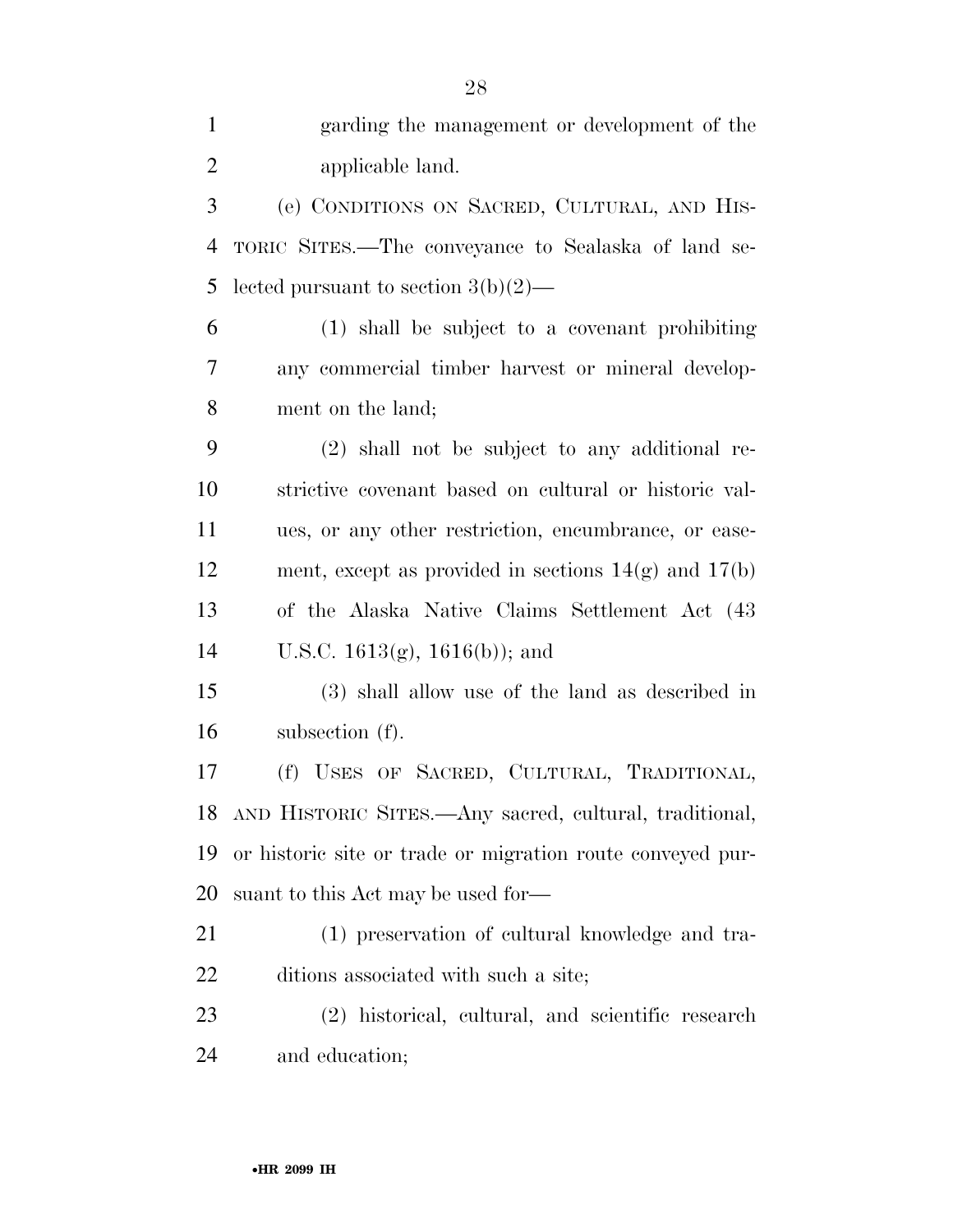| $\mathbf{1}$   | garding the management or development of the               |
|----------------|------------------------------------------------------------|
| $\overline{2}$ | applicable land.                                           |
| 3              | (e) CONDITIONS ON SACRED, CULTURAL, AND HIS-               |
| $\overline{4}$ | TORIC SITES.—The conveyance to Sealaska of land se-        |
| 5              | lected pursuant to section $3(b)(2)$ —                     |
| 6              | (1) shall be subject to a covenant prohibiting             |
| $\overline{7}$ | any commercial timber harvest or mineral develop-          |
| 8              | ment on the land;                                          |
| 9              | $(2)$ shall not be subject to any additional re-           |
| 10             | strictive covenant based on cultural or historic val-      |
| 11             | ues, or any other restriction, encumbrance, or ease-       |
| 12             | ment, except as provided in sections $14(g)$ and $17(b)$   |
| 13             | of the Alaska Native Claims Settlement Act (43)            |
| 14             | U.S.C. $1613(g)$ , $1616(b)$ ; and                         |
| 15             | (3) shall allow use of the land as described in            |
| 16             | subsection (f).                                            |
| 17             | (f) USES OF SACRED, CULTURAL, TRADITIONAL,                 |
| 18             | AND HISTORIC SITES.—Any sacred, cultural, traditional,     |
| 19             | or historic site or trade or migration route conveyed pur- |
| 20             | suant to this Act may be used for-                         |
| 21             | (1) preservation of cultural knowledge and tra-            |
| 22             | ditions associated with such a site;                       |
| 23             | (2) historical, cultural, and scientific research          |
| 24             | and education;                                             |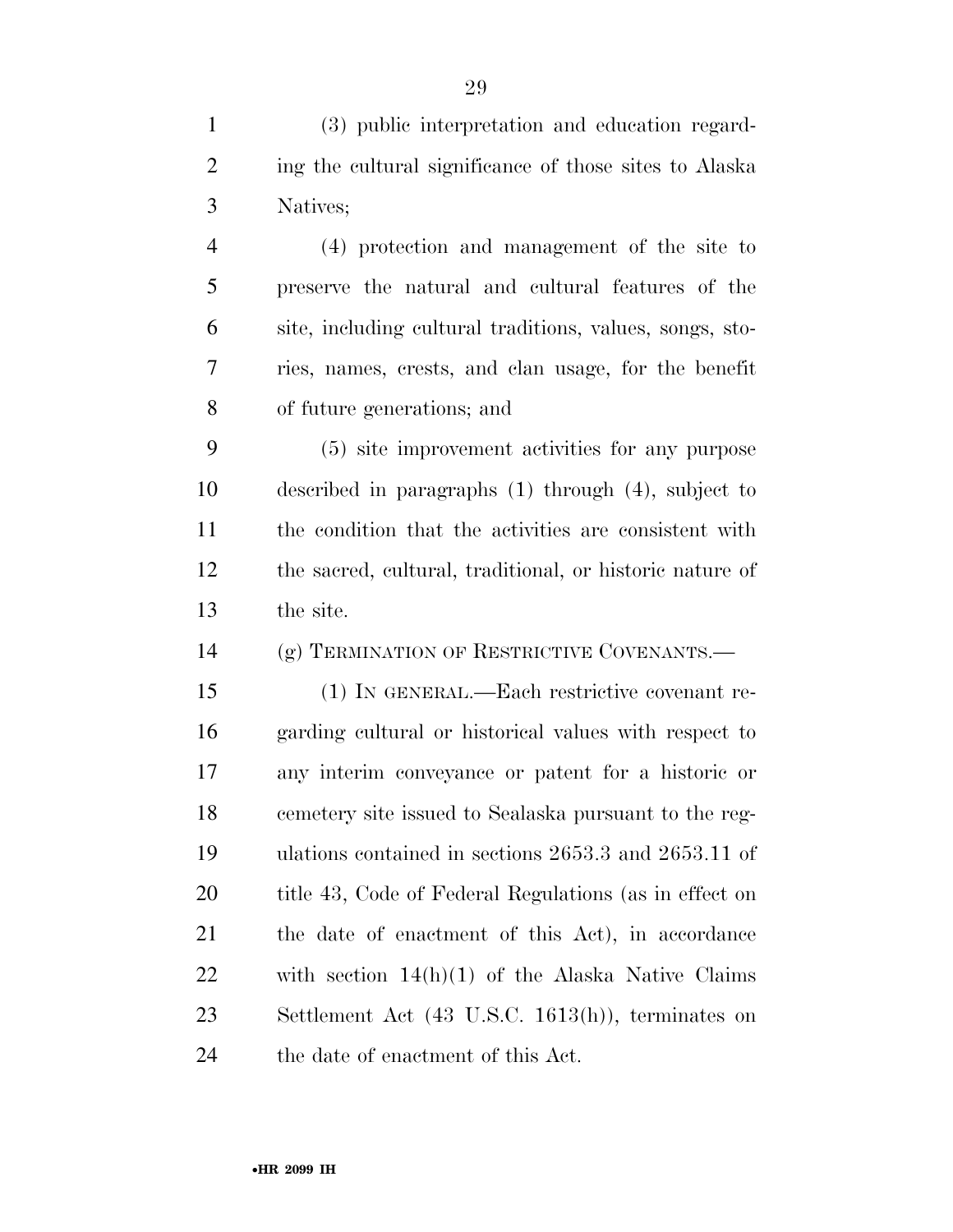(3) public interpretation and education regard- ing the cultural significance of those sites to Alaska Natives;

 (4) protection and management of the site to preserve the natural and cultural features of the site, including cultural traditions, values, songs, sto- ries, names, crests, and clan usage, for the benefit of future generations; and

 (5) site improvement activities for any purpose described in paragraphs (1) through (4), subject to the condition that the activities are consistent with the sacred, cultural, traditional, or historic nature of the site.

(g) TERMINATION OF RESTRICTIVE COVENANTS.—

 (1) IN GENERAL.—Each restrictive covenant re- garding cultural or historical values with respect to any interim conveyance or patent for a historic or cemetery site issued to Sealaska pursuant to the reg- ulations contained in sections 2653.3 and 2653.11 of 20 title 43, Code of Federal Regulations (as in effect on the date of enactment of this Act), in accordance with section 14(h)(1) of the Alaska Native Claims Settlement Act (43 U.S.C. 1613(h)), terminates on the date of enactment of this Act.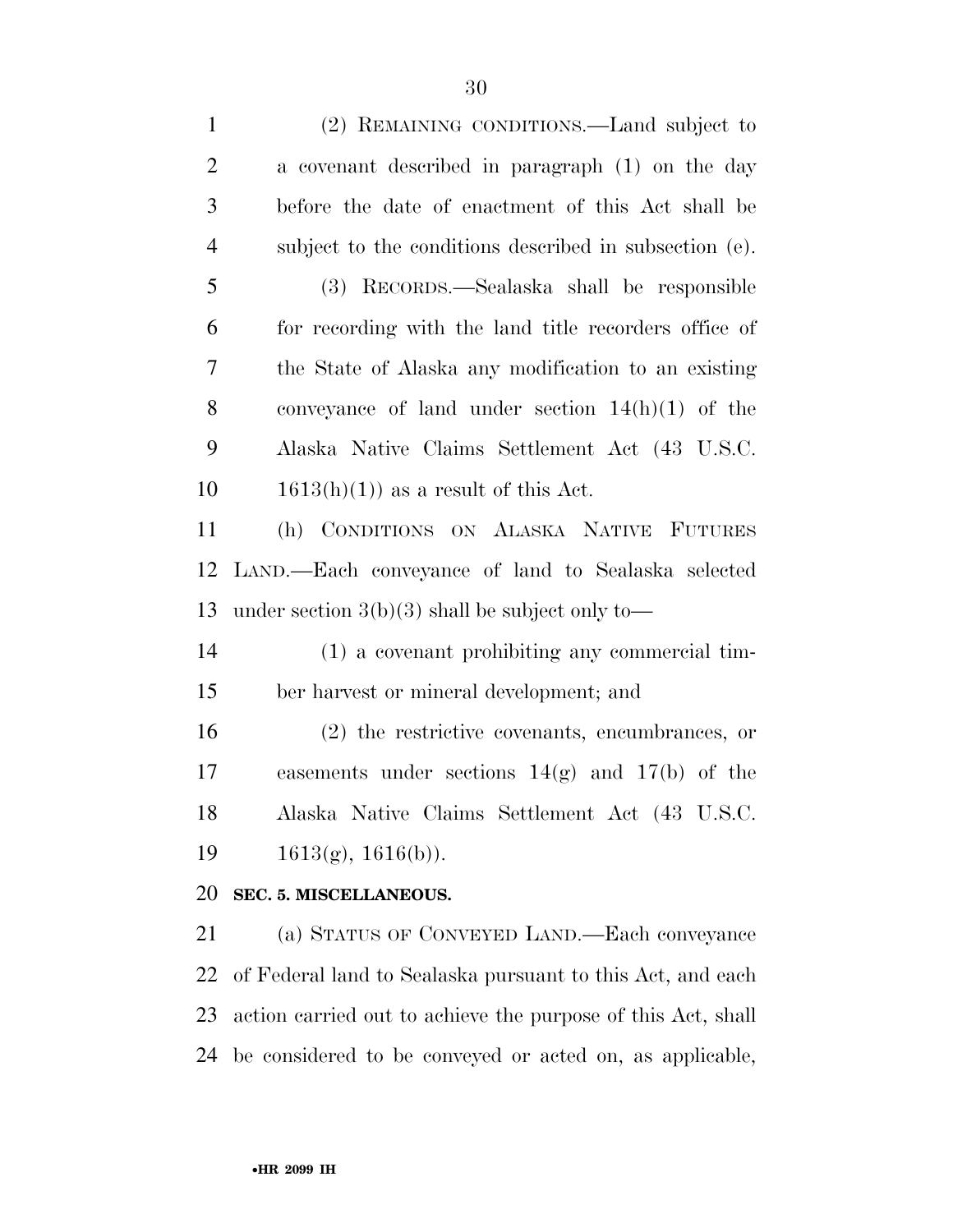| $\mathbf{1}$   | (2) REMAINING CONDITIONS.—Land subject to                    |
|----------------|--------------------------------------------------------------|
| $\overline{c}$ | a covenant described in paragraph (1) on the day             |
| 3              | before the date of enactment of this Act shall be            |
| $\overline{4}$ | subject to the conditions described in subsection (e).       |
| 5              | (3) RECORDS.—Sealaska shall be responsible                   |
| 6              | for recording with the land title recorders office of        |
| 7              | the State of Alaska any modification to an existing          |
| 8              | conveyance of land under section $14(h)(1)$ of the           |
| 9              | Alaska Native Claims Settlement Act (43 U.S.C.               |
| 10             | $1613(h)(1)$ as a result of this Act.                        |
| 11             | (h) CONDITIONS ON ALASKA NATIVE FUTURES                      |
| 12             | LAND.—Each conveyance of land to Sealaska selected           |
| 13             | under section $3(b)(3)$ shall be subject only to—            |
| 14             | (1) a covenant prohibiting any commercial tim-               |
| 15             | ber harvest or mineral development; and                      |
| 16             | $(2)$ the restrictive covenants, encumbrances, or            |
| 17             | easements under sections $14(g)$ and $17(b)$ of the          |
| 18             | Alaska Native Claims Settlement Act (43 U.S.C.               |
| 19             | $1613(g), 1616(b)$ .                                         |
| 20             | SEC. 5. MISCELLANEOUS.                                       |
| 21             | (a) STATUS OF CONVEYED LAND.—Each conveyance                 |
| 22             | of Federal land to Sealaska pursuant to this Act, and each   |
| 23             | action carried out to achieve the purpose of this Act, shall |
|                |                                                              |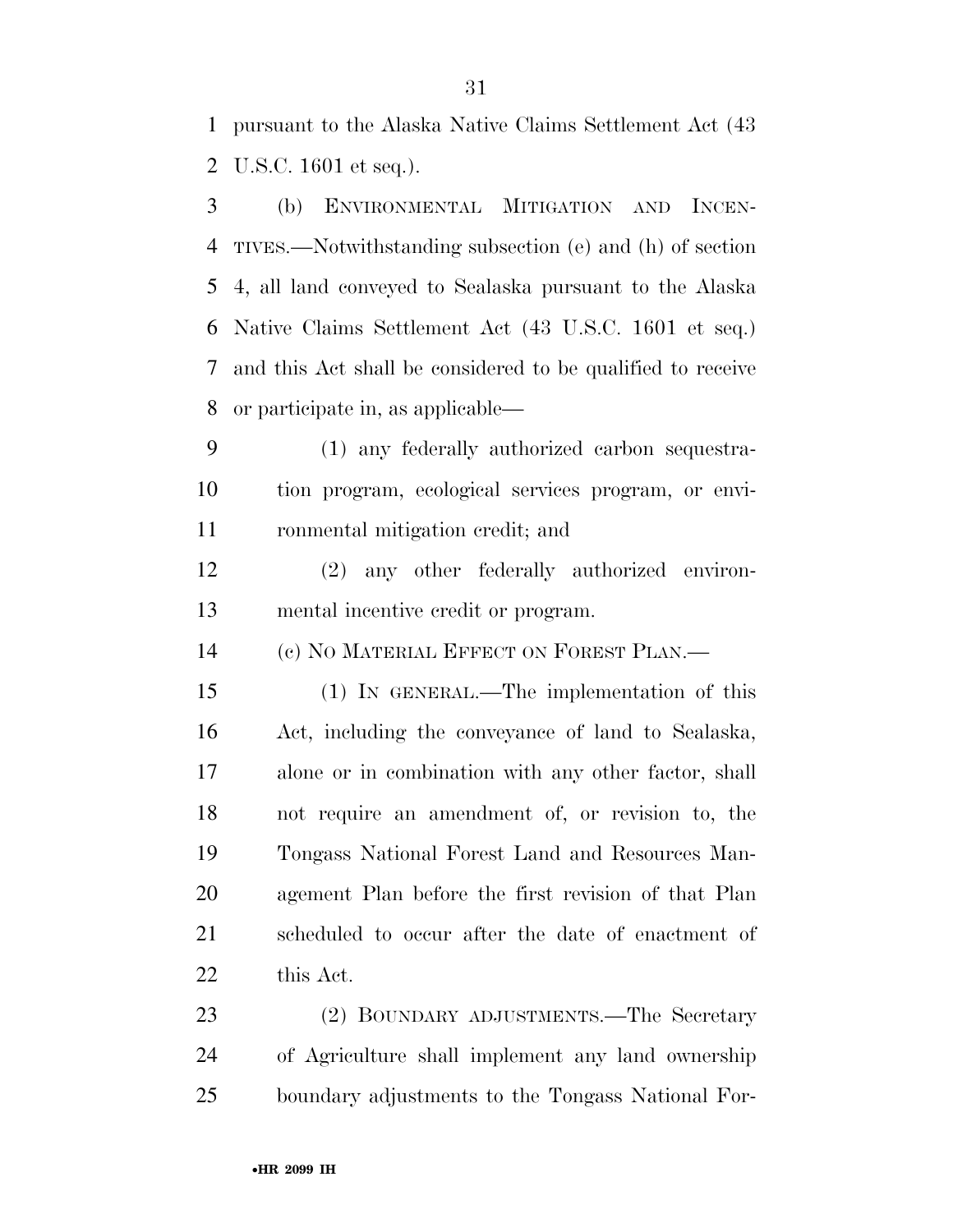pursuant to the Alaska Native Claims Settlement Act (43 U.S.C. 1601 et seq.).

 (b) ENVIRONMENTAL MITIGATION AND INCEN- TIVES.—Notwithstanding subsection (e) and (h) of section 4, all land conveyed to Sealaska pursuant to the Alaska Native Claims Settlement Act (43 U.S.C. 1601 et seq.) and this Act shall be considered to be qualified to receive or participate in, as applicable—

 (1) any federally authorized carbon sequestra- tion program, ecological services program, or envi-ronmental mitigation credit; and

 (2) any other federally authorized environ-mental incentive credit or program.

(c) NO MATERIAL EFFECT ON FOREST PLAN.—

 (1) IN GENERAL.—The implementation of this Act, including the conveyance of land to Sealaska, alone or in combination with any other factor, shall not require an amendment of, or revision to, the Tongass National Forest Land and Resources Man- agement Plan before the first revision of that Plan scheduled to occur after the date of enactment of this Act.

 (2) BOUNDARY ADJUSTMENTS.—The Secretary of Agriculture shall implement any land ownership boundary adjustments to the Tongass National For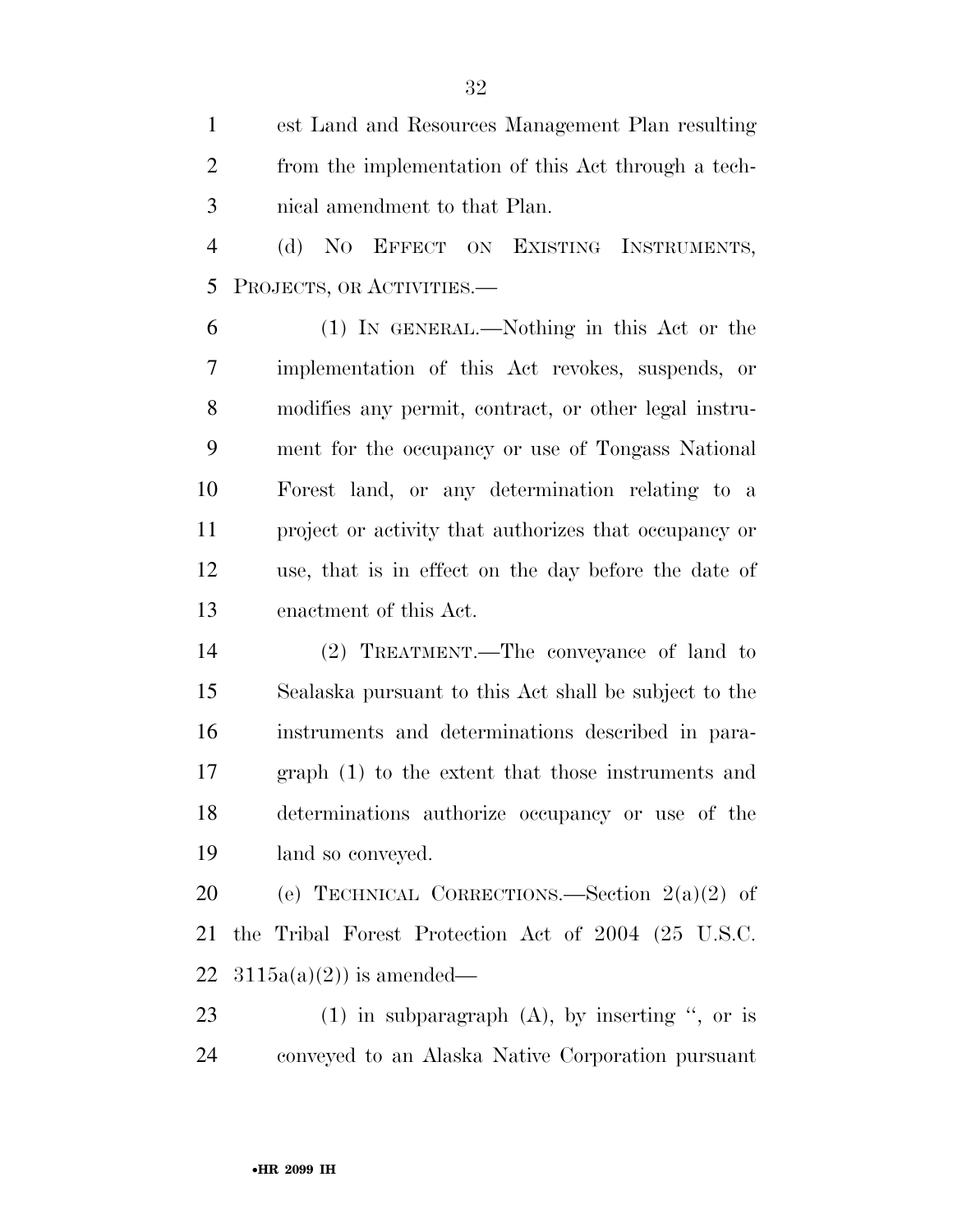est Land and Resources Management Plan resulting from the implementation of this Act through a tech-nical amendment to that Plan.

 (d) NO EFFECT ON EXISTING INSTRUMENTS, PROJECTS, OR ACTIVITIES.—

 (1) IN GENERAL.—Nothing in this Act or the implementation of this Act revokes, suspends, or modifies any permit, contract, or other legal instru- ment for the occupancy or use of Tongass National Forest land, or any determination relating to a project or activity that authorizes that occupancy or use, that is in effect on the day before the date of enactment of this Act.

 (2) TREATMENT.—The conveyance of land to Sealaska pursuant to this Act shall be subject to the instruments and determinations described in para- graph (1) to the extent that those instruments and determinations authorize occupancy or use of the land so conveyed.

20 (e) TECHNICAL CORRECTIONS.—Section  $2(a)(2)$  of the Tribal Forest Protection Act of 2004 (25 U.S.C. 22  $3115a(a)(2)$  is amended—

 (1) in subparagraph (A), by inserting '', or is conveyed to an Alaska Native Corporation pursuant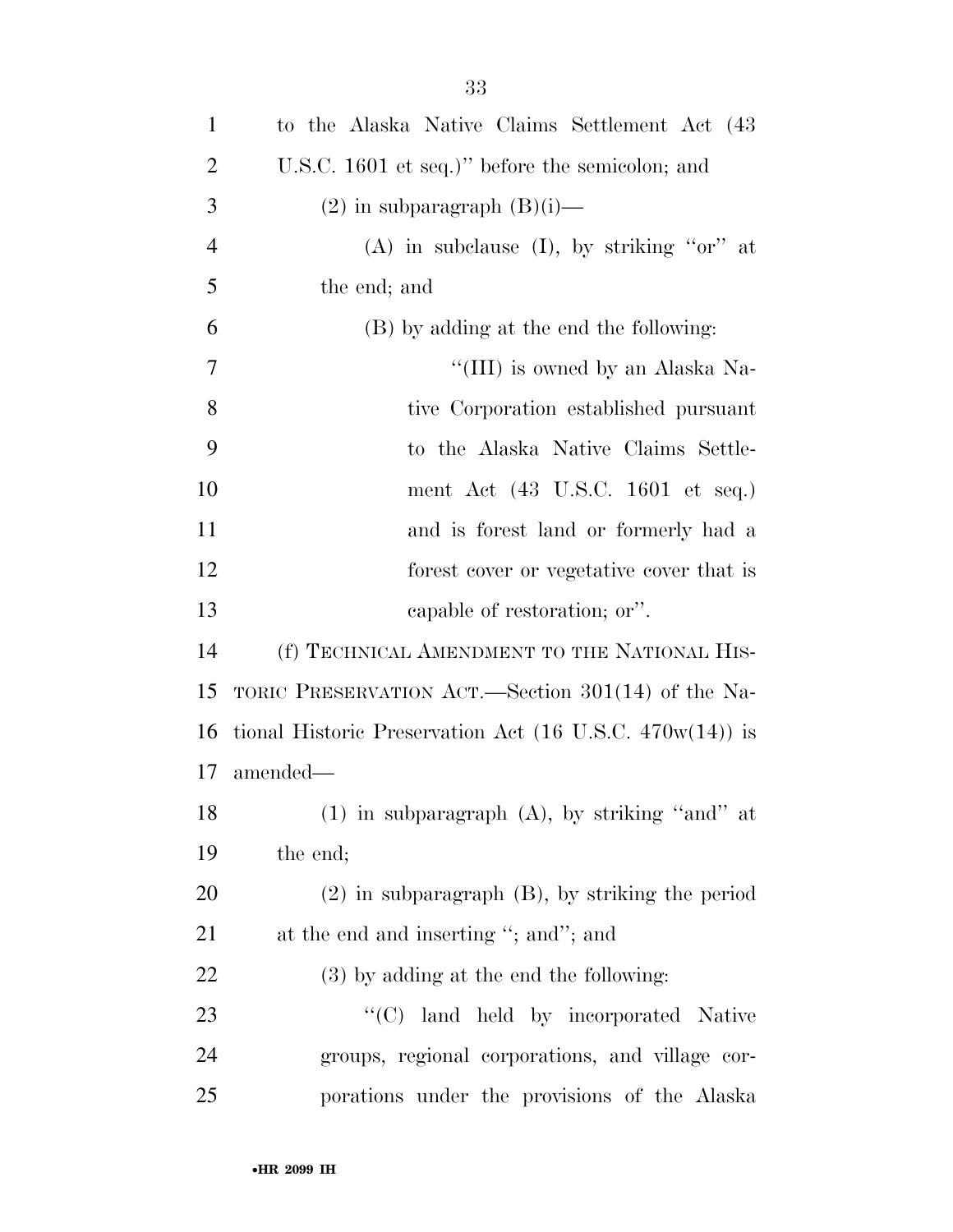| 1 | to the Alaska Native Claims Settlement Act (43) |
|---|-------------------------------------------------|
| 2 | U.S.C. 1601 et seq.)" before the semicolon; and |
| 3 | $(2)$ in subparagraph $(B)(i)$ —                |
| 4 | (A) in subclause (I), by striking "or" at       |

the end; and

 (B) by adding at the end the following:  $\frac{1}{I}$  (III) is owned by an Alaska Na- tive Corporation established pursuant to the Alaska Native Claims Settle- ment Act (43 U.S.C. 1601 et seq.) and is forest land or formerly had a forest cover or vegetative cover that is capable of restoration; or''.

 (f) TECHNICAL AMENDMENT TO THE NATIONAL HIS- TORIC PRESERVATION ACT.—Section 301(14) of the Na- tional Historic Preservation Act (16 U.S.C. 470w(14)) is amended—

 (1) in subparagraph (A), by striking ''and'' at the end;

 (2) in subparagraph (B), by striking the period 21 at the end and inserting "; and"; and

(3) by adding at the end the following:

23 "'(C) land held by incorporated Native groups, regional corporations, and village cor-porations under the provisions of the Alaska